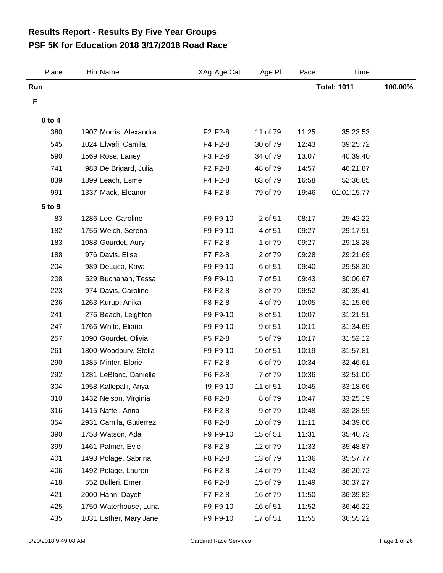## **PSF 5K for Education 2018 3/17/2018 Road Race Results Report - Results By Five Year Groups**

| Place      | <b>Bib Name</b>        | XAg Age Cat | Age PI   | Pace               | Time        |         |
|------------|------------------------|-------------|----------|--------------------|-------------|---------|
| Run        |                        |             |          | <b>Total: 1011</b> |             | 100.00% |
| F          |                        |             |          |                    |             |         |
| $0$ to $4$ |                        |             |          |                    |             |         |
| 380        | 1907 Morris, Alexandra | F2 F2-8     | 11 of 79 | 11:25              | 35:23.53    |         |
| 545        | 1024 Elwafi, Camila    | F4 F2-8     | 30 of 79 | 12:43              | 39:25.72    |         |
| 590        | 1569 Rose, Laney       | F3 F2-8     | 34 of 79 | 13:07              | 40:39.40    |         |
| 741        | 983 De Brigard, Julia  | F2 F2-8     | 48 of 79 | 14:57              | 46:21.87    |         |
| 839        | 1899 Leach, Esme       | F4 F2-8     | 63 of 79 | 16:58              | 52:36.85    |         |
| 991        | 1337 Mack, Eleanor     | F4 F2-8     | 79 of 79 | 19:46              | 01:01:15.77 |         |
| 5 to 9     |                        |             |          |                    |             |         |
| 83         | 1286 Lee, Caroline     | F9 F9-10    | 2 of 51  | 08:17              | 25:42.22    |         |
| 182        | 1756 Welch, Serena     | F9 F9-10    | 4 of 51  | 09:27              | 29:17.91    |         |
| 183        | 1088 Gourdet, Aury     | F7 F2-8     | 1 of 79  | 09:27              | 29:18.28    |         |
| 188        | 976 Davis, Elise       | F7 F2-8     | 2 of 79  | 09:28              | 29:21.69    |         |
| 204        | 989 DeLuca, Kaya       | F9 F9-10    | 6 of 51  | 09:40              | 29:58.30    |         |
| 208        | 529 Buchanan, Tessa    | F9 F9-10    | 7 of 51  | 09:43              | 30:06.67    |         |
| 223        | 974 Davis, Caroline    | F8 F2-8     | 3 of 79  | 09:52              | 30:35.41    |         |
| 236        | 1263 Kurup, Anika      | F8 F2-8     | 4 of 79  | 10:05              | 31:15.66    |         |
| 241        | 276 Beach, Leighton    | F9 F9-10    | 8 of 51  | 10:07              | 31:21.51    |         |
| 247        | 1766 White, Eliana     | F9 F9-10    | 9 of 51  | 10:11              | 31:34.69    |         |
| 257        | 1090 Gourdet, Olivia   | F5 F2-8     | 5 of 79  | 10:17              | 31:52.12    |         |
| 261        | 1800 Woodbury, Stella  | F9 F9-10    | 10 of 51 | 10:19              | 31:57.81    |         |
| 290        | 1385 Minter, Elorie    | F7 F2-8     | 6 of 79  | 10:34              | 32:46.61    |         |
| 292        | 1281 LeBlanc, Danielle | F6 F2-8     | 7 of 79  | 10:36              | 32:51.00    |         |
| 304        | 1958 Kallepalli, Anya  | f9 F9-10    | 11 of 51 | 10:45              | 33:18.66    |         |
| 310        | 1432 Nelson, Virginia  | F8 F2-8     | 8 of 79  | 10:47              | 33:25.19    |         |
| 316        | 1415 Naftel, Anna      | F8 F2-8     | 9 of 79  | 10:48              | 33:28.59    |         |
| 354        | 2931 Camila, Gutierrez | F8 F2-8     | 10 of 79 | 11:11              | 34:39.66    |         |
| 390        | 1753 Watson, Ada       | F9 F9-10    | 15 of 51 | 11:31              | 35:40.73    |         |
| 399        | 1461 Palmer, Evie      | F8 F2-8     | 12 of 79 | 11:33              | 35:48.87    |         |
| 401        | 1493 Polage, Sabrina   | F8 F2-8     | 13 of 79 | 11:36              | 35:57.77    |         |
| 406        | 1492 Polage, Lauren    | F6 F2-8     | 14 of 79 | 11:43              | 36:20.72    |         |
| 418        | 552 Bulleri, Emer      | F6 F2-8     | 15 of 79 | 11:49              | 36:37.27    |         |
| 421        | 2000 Hahn, Dayeh       | F7 F2-8     | 16 of 79 | 11:50              | 36:39.82    |         |
| 425        | 1750 Waterhouse, Luna  | F9 F9-10    | 16 of 51 | 11:52              | 36:46.22    |         |
| 435        | 1031 Esther, Mary Jane | F9 F9-10    | 17 of 51 | 11:55              | 36:55.22    |         |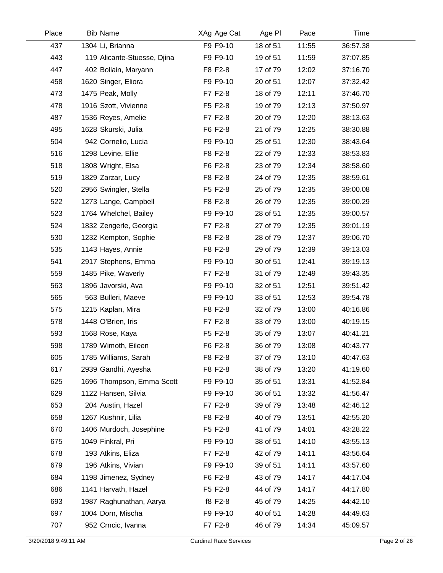| Place | <b>Bib Name</b>             | XAg Age Cat | Age PI   | Pace  | Time     |  |
|-------|-----------------------------|-------------|----------|-------|----------|--|
| 437   | 1304 Li, Brianna            | F9 F9-10    | 18 of 51 | 11:55 | 36:57.38 |  |
| 443   | 119 Alicante-Stuesse, Djina | F9 F9-10    | 19 of 51 | 11:59 | 37:07.85 |  |
| 447   | 402 Bollain, Maryann        | F8 F2-8     | 17 of 79 | 12:02 | 37:16.70 |  |
| 458   | 1620 Singer, Eliora         | F9 F9-10    | 20 of 51 | 12:07 | 37:32.42 |  |
| 473   | 1475 Peak, Molly            | F7 F2-8     | 18 of 79 | 12:11 | 37:46.70 |  |
| 478   | 1916 Szott, Vivienne        | F5 F2-8     | 19 of 79 | 12:13 | 37:50.97 |  |
| 487   | 1536 Reyes, Amelie          | F7 F2-8     | 20 of 79 | 12:20 | 38:13.63 |  |
| 495   | 1628 Skurski, Julia         | F6 F2-8     | 21 of 79 | 12:25 | 38:30.88 |  |
| 504   | 942 Cornelio, Lucia         | F9 F9-10    | 25 of 51 | 12:30 | 38:43.64 |  |
| 516   | 1298 Levine, Ellie          | F8 F2-8     | 22 of 79 | 12:33 | 38:53.83 |  |
| 518   | 1808 Wright, Elsa           | F6 F2-8     | 23 of 79 | 12:34 | 38:58.60 |  |
| 519   | 1829 Zarzar, Lucy           | F8 F2-8     | 24 of 79 | 12:35 | 38:59.61 |  |
| 520   | 2956 Swingler, Stella       | F5 F2-8     | 25 of 79 | 12:35 | 39:00.08 |  |
| 522   | 1273 Lange, Campbell        | F8 F2-8     | 26 of 79 | 12:35 | 39:00.29 |  |
| 523   | 1764 Whelchel, Bailey       | F9 F9-10    | 28 of 51 | 12:35 | 39:00.57 |  |
| 524   | 1832 Zengerle, Georgia      | F7 F2-8     | 27 of 79 | 12:35 | 39:01.19 |  |
| 530   | 1232 Kempton, Sophie        | F8 F2-8     | 28 of 79 | 12:37 | 39:06.70 |  |
| 535   | 1143 Hayes, Annie           | F8 F2-8     | 29 of 79 | 12:39 | 39:13.03 |  |
| 541   | 2917 Stephens, Emma         | F9 F9-10    | 30 of 51 | 12:41 | 39:19.13 |  |
| 559   | 1485 Pike, Waverly          | F7 F2-8     | 31 of 79 | 12:49 | 39:43.35 |  |
| 563   | 1896 Javorski, Ava          | F9 F9-10    | 32 of 51 | 12:51 | 39:51.42 |  |
| 565   | 563 Bulleri, Maeve          | F9 F9-10    | 33 of 51 | 12:53 | 39:54.78 |  |
| 575   | 1215 Kaplan, Mira           | F8 F2-8     | 32 of 79 | 13:00 | 40:16.86 |  |
| 578   | 1448 O'Brien, Iris          | F7 F2-8     | 33 of 79 | 13:00 | 40:19.15 |  |
| 593   | 1568 Rose, Kaya             | F5 F2-8     | 35 of 79 | 13:07 | 40:41.21 |  |
| 598   | 1789 Wimoth, Eileen         | F6 F2-8     | 36 of 79 | 13:08 | 40:43.77 |  |
| 605   | 1785 Williams, Sarah        | F8 F2-8     | 37 of 79 | 13:10 | 40:47.63 |  |
| 617   | 2939 Gandhi, Ayesha         | F8 F2-8     | 38 of 79 | 13:20 | 41:19.60 |  |
| 625   | 1696 Thompson, Emma Scott   | F9 F9-10    | 35 of 51 | 13:31 | 41:52.84 |  |
| 629   | 1122 Hansen, Silvia         | F9 F9-10    | 36 of 51 | 13:32 | 41:56.47 |  |
| 653   | 204 Austin, Hazel           | F7 F2-8     | 39 of 79 | 13:48 | 42:46.12 |  |
| 658   | 1267 Kushnir, Lilia         | F8 F2-8     | 40 of 79 | 13:51 | 42:55.20 |  |
| 670   | 1406 Murdoch, Josephine     | F5 F2-8     | 41 of 79 | 14:01 | 43:28.22 |  |
| 675   | 1049 Finkral, Pri           | F9 F9-10    | 38 of 51 | 14:10 | 43:55.13 |  |
| 678   | 193 Atkins, Eliza           | F7 F2-8     | 42 of 79 | 14:11 | 43:56.64 |  |
| 679   | 196 Atkins, Vivian          | F9 F9-10    | 39 of 51 | 14:11 | 43:57.60 |  |
| 684   | 1198 Jimenez, Sydney        | F6 F2-8     | 43 of 79 | 14:17 | 44:17.04 |  |
| 686   | 1141 Harvath, Hazel         | F5 F2-8     | 44 of 79 | 14:17 | 44:17.80 |  |
| 693   | 1987 Raghunathan, Aarya     | f8 F2-8     | 45 of 79 | 14:25 | 44:42.10 |  |
| 697   | 1004 Dorn, Mischa           | F9 F9-10    | 40 of 51 | 14:28 | 44:49.63 |  |
| 707   | 952 Crncic, Ivanna          | F7 F2-8     | 46 of 79 | 14:34 | 45:09.57 |  |
|       |                             |             |          |       |          |  |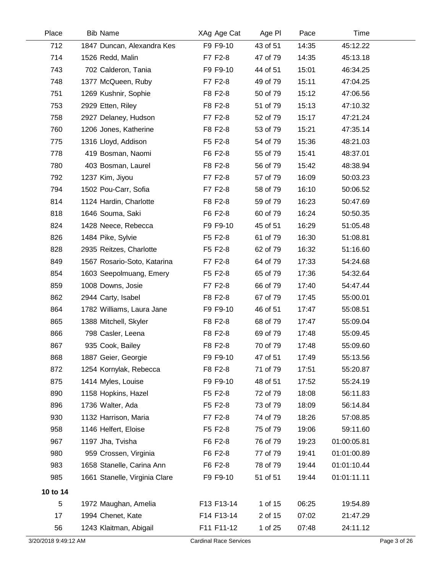| Place                | <b>Bib Name</b>               | XAg Age Cat                   | Age PI   | Pace  | Time        |              |
|----------------------|-------------------------------|-------------------------------|----------|-------|-------------|--------------|
| 712                  | 1847 Duncan, Alexandra Kes    | F9 F9-10                      | 43 of 51 | 14:35 | 45:12.22    |              |
| 714                  | 1526 Redd, Malin              | F7 F2-8                       | 47 of 79 | 14:35 | 45:13.18    |              |
| 743                  | 702 Calderon, Tania           | F9 F9-10                      | 44 of 51 | 15:01 | 46:34.25    |              |
| 748                  | 1377 McQueen, Ruby            | F7 F2-8                       | 49 of 79 | 15:11 | 47:04.25    |              |
| 751                  | 1269 Kushnir, Sophie          | F8 F2-8                       | 50 of 79 | 15:12 | 47:06.56    |              |
| 753                  | 2929 Etten, Riley             | F8 F2-8                       | 51 of 79 | 15:13 | 47:10.32    |              |
| 758                  | 2927 Delaney, Hudson          | F7 F2-8                       | 52 of 79 | 15:17 | 47:21.24    |              |
| 760                  | 1206 Jones, Katherine         | F8 F2-8                       | 53 of 79 | 15:21 | 47:35.14    |              |
| 775                  | 1316 Lloyd, Addison           | F5 F2-8                       | 54 of 79 | 15:36 | 48:21.03    |              |
| 778                  | 419 Bosman, Naomi             | F6 F2-8                       | 55 of 79 | 15:41 | 48:37.01    |              |
| 780                  | 403 Bosman, Laurel            | F8 F2-8                       | 56 of 79 | 15:42 | 48:38.94    |              |
| 792                  | 1237 Kim, Jiyou               | F7 F2-8                       | 57 of 79 | 16:09 | 50:03.23    |              |
| 794                  | 1502 Pou-Carr, Sofia          | F7 F2-8                       | 58 of 79 | 16:10 | 50:06.52    |              |
| 814                  | 1124 Hardin, Charlotte        | F8 F2-8                       | 59 of 79 | 16:23 | 50:47.69    |              |
| 818                  | 1646 Souma, Saki              | F6 F2-8                       | 60 of 79 | 16:24 | 50:50.35    |              |
| 824                  | 1428 Neece, Rebecca           | F9 F9-10                      | 45 of 51 | 16:29 | 51:05.48    |              |
| 826                  | 1484 Pike, Sylvie             | F5 F2-8                       | 61 of 79 | 16:30 | 51:08.81    |              |
| 828                  | 2935 Reitzes, Charlotte       | F5 F2-8                       | 62 of 79 | 16:32 | 51:16.60    |              |
| 849                  | 1567 Rosario-Soto, Katarina   | F7 F2-8                       | 64 of 79 | 17:33 | 54:24.68    |              |
| 854                  | 1603 Seepolmuang, Emery       | F5 F2-8                       | 65 of 79 | 17:36 | 54:32.64    |              |
| 859                  | 1008 Downs, Josie             | F7 F2-8                       | 66 of 79 | 17:40 | 54:47.44    |              |
| 862                  | 2944 Carty, Isabel            | F8 F2-8                       | 67 of 79 | 17:45 | 55:00.01    |              |
| 864                  | 1782 Williams, Laura Jane     | F9 F9-10                      | 46 of 51 | 17:47 | 55:08.51    |              |
| 865                  | 1388 Mitchell, Skyler         | F8 F2-8                       | 68 of 79 | 17:47 | 55:09.04    |              |
| 866                  | 798 Casler, Leena             | F8 F2-8                       | 69 of 79 | 17:48 | 55:09.45    |              |
| 867                  | 935 Cook, Bailey              | F8 F2-8                       | 70 of 79 | 17:48 | 55:09.60    |              |
| 868                  | 1887 Geier, Georgie           | F9 F9-10                      | 47 of 51 | 17:49 | 55:13.56    |              |
| 872                  | 1254 Kornylak, Rebecca        | F8 F2-8                       | 71 of 79 | 17:51 | 55:20.87    |              |
| 875                  | 1414 Myles, Louise            | F9 F9-10                      | 48 of 51 | 17:52 | 55:24.19    |              |
| 890                  | 1158 Hopkins, Hazel           | F5 F2-8                       | 72 of 79 | 18:08 | 56:11.83    |              |
| 896                  | 1736 Walter, Ada              | F5 F2-8                       | 73 of 79 | 18:09 | 56:14.84    |              |
| 930                  | 1132 Harrison, Maria          | F7 F2-8                       | 74 of 79 | 18:26 | 57:08.85    |              |
| 958                  | 1146 Helfert, Eloise          | F5 F2-8                       | 75 of 79 | 19:06 | 59:11.60    |              |
| 967                  | 1197 Jha, Tvisha              | F6 F2-8                       | 76 of 79 | 19:23 | 01:00:05.81 |              |
| 980                  | 959 Crossen, Virginia         | F6 F2-8                       | 77 of 79 | 19:41 | 01:01:00.89 |              |
| 983                  | 1658 Stanelle, Carina Ann     | F6 F2-8                       | 78 of 79 | 19:44 | 01:01:10.44 |              |
| 985                  | 1661 Stanelle, Virginia Clare | F9 F9-10                      | 51 of 51 | 19:44 | 01:01:11.11 |              |
| 10 to 14             |                               |                               |          |       |             |              |
| 5                    | 1972 Maughan, Amelia          | F13 F13-14                    | 1 of 15  | 06:25 | 19:54.89    |              |
| 17                   | 1994 Chenet, Kate             | F14 F13-14                    | 2 of 15  | 07:02 | 21:47.29    |              |
| 56                   | 1243 Klaitman, Abigail        | F11 F11-12                    | 1 of 25  | 07:48 | 24:11.12    |              |
| 3/20/2018 9:49:12 AM |                               | <b>Cardinal Race Services</b> |          |       |             | Page 3 of 26 |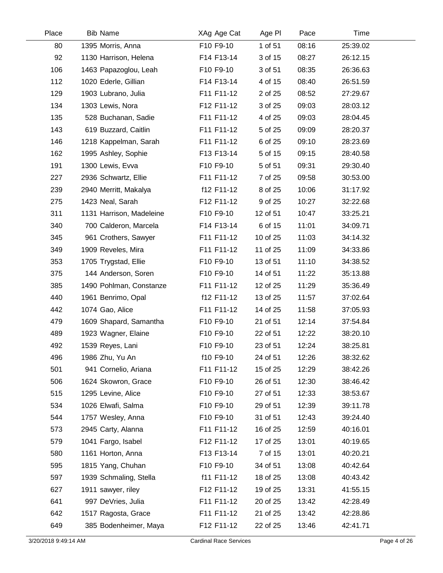| Place | <b>Bib Name</b>          | XAg Age Cat | Age PI   | Pace  | Time     |  |
|-------|--------------------------|-------------|----------|-------|----------|--|
| 80    | 1395 Morris, Anna        | F10 F9-10   | 1 of 51  | 08:16 | 25:39.02 |  |
| 92    | 1130 Harrison, Helena    | F14 F13-14  | 3 of 15  | 08:27 | 26:12.15 |  |
| 106   | 1463 Papazoglou, Leah    | F10 F9-10   | 3 of 51  | 08:35 | 26:36.63 |  |
| 112   | 1020 Ederle, Gillian     | F14 F13-14  | 4 of 15  | 08:40 | 26:51.59 |  |
| 129   | 1903 Lubrano, Julia      | F11 F11-12  | 2 of 25  | 08:52 | 27:29.67 |  |
| 134   | 1303 Lewis, Nora         | F12 F11-12  | 3 of 25  | 09:03 | 28:03.12 |  |
| 135   | 528 Buchanan, Sadie      | F11 F11-12  | 4 of 25  | 09:03 | 28:04.45 |  |
| 143   | 619 Buzzard, Caitlin     | F11 F11-12  | 5 of 25  | 09:09 | 28:20.37 |  |
| 146   | 1218 Kappelman, Sarah    | F11 F11-12  | 6 of 25  | 09:10 | 28:23.69 |  |
| 162   | 1995 Ashley, Sophie      | F13 F13-14  | 5 of 15  | 09:15 | 28:40.58 |  |
| 191   | 1300 Lewis, Evva         | F10 F9-10   | 5 of 51  | 09:31 | 29:30.40 |  |
| 227   | 2936 Schwartz, Ellie     | F11 F11-12  | 7 of 25  | 09:58 | 30:53.00 |  |
| 239   | 2940 Merritt, Makalya    | f12 F11-12  | 8 of 25  | 10:06 | 31:17.92 |  |
| 275   | 1423 Neal, Sarah         | F12 F11-12  | 9 of 25  | 10:27 | 32:22.68 |  |
| 311   | 1131 Harrison, Madeleine | F10 F9-10   | 12 of 51 | 10:47 | 33:25.21 |  |
| 340   | 700 Calderon, Marcela    | F14 F13-14  | 6 of 15  | 11:01 | 34:09.71 |  |
| 345   | 961 Crothers, Sawyer     | F11 F11-12  | 10 of 25 | 11:03 | 34:14.32 |  |
| 349   | 1909 Reveles, Mira       | F11 F11-12  | 11 of 25 | 11:09 | 34:33.86 |  |
| 353   | 1705 Trygstad, Ellie     | F10 F9-10   | 13 of 51 | 11:10 | 34:38.52 |  |
| 375   | 144 Anderson, Soren      | F10 F9-10   | 14 of 51 | 11:22 | 35:13.88 |  |
| 385   | 1490 Pohlman, Constanze  | F11 F11-12  | 12 of 25 | 11:29 | 35:36.49 |  |
| 440   | 1961 Benrimo, Opal       | f12 F11-12  | 13 of 25 | 11:57 | 37:02.64 |  |
| 442   | 1074 Gao, Alice          | F11 F11-12  | 14 of 25 | 11:58 | 37:05.93 |  |
| 479   | 1609 Shapard, Samantha   | F10 F9-10   | 21 of 51 | 12:14 | 37:54.84 |  |
| 489   | 1923 Wagner, Elaine      | F10 F9-10   | 22 of 51 | 12:22 | 38:20.10 |  |
| 492   | 1539 Reyes, Lani         | F10 F9-10   | 23 of 51 | 12:24 | 38:25.81 |  |
| 496   | 1986 Zhu, Yu An          | f10 F9-10   | 24 of 51 | 12:26 | 38:32.62 |  |
| 501   | 941 Cornelio, Ariana     | F11 F11-12  | 15 of 25 | 12:29 | 38:42.26 |  |
| 506   | 1624 Skowron, Grace      | F10 F9-10   | 26 of 51 | 12:30 | 38:46.42 |  |
| 515   | 1295 Levine, Alice       | F10 F9-10   | 27 of 51 | 12:33 | 38:53.67 |  |
| 534   | 1026 Elwafi, Salma       | F10 F9-10   | 29 of 51 | 12:39 | 39:11.78 |  |
| 544   | 1757 Wesley, Anna        | F10 F9-10   | 31 of 51 | 12:43 | 39:24.40 |  |
| 573   | 2945 Carty, Alanna       | F11 F11-12  | 16 of 25 | 12:59 | 40:16.01 |  |
| 579   | 1041 Fargo, Isabel       | F12 F11-12  | 17 of 25 | 13:01 | 40:19.65 |  |
| 580   | 1161 Horton, Anna        | F13 F13-14  | 7 of 15  | 13:01 | 40:20.21 |  |
| 595   | 1815 Yang, Chuhan        | F10 F9-10   | 34 of 51 | 13:08 | 40:42.64 |  |
| 597   | 1939 Schmaling, Stella   | f11 F11-12  | 18 of 25 | 13:08 | 40:43.42 |  |
| 627   | 1911 sawyer, riley       | F12 F11-12  | 19 of 25 | 13:31 | 41:55.15 |  |
| 641   | 997 DeVries, Julia       | F11 F11-12  | 20 of 25 | 13:42 | 42:28.49 |  |
| 642   | 1517 Ragosta, Grace      | F11 F11-12  | 21 of 25 | 13:42 | 42:28.86 |  |
| 649   | 385 Bodenheimer, Maya    | F12 F11-12  | 22 of 25 | 13:46 | 42:41.71 |  |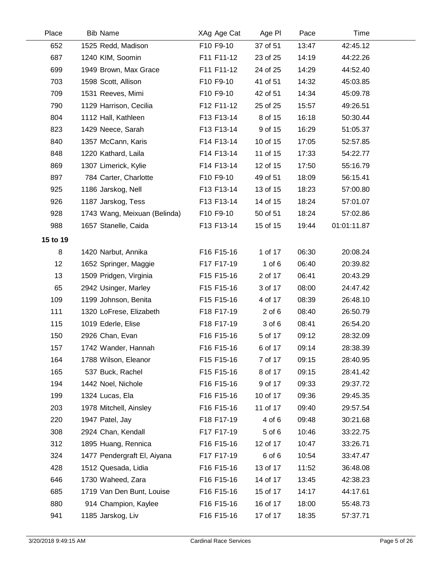| Place    | <b>Bib Name</b>              | XAg Age Cat | Age PI     | Pace  | Time        |  |
|----------|------------------------------|-------------|------------|-------|-------------|--|
| 652      | 1525 Redd, Madison           | F10 F9-10   | 37 of 51   | 13:47 | 42:45.12    |  |
| 687      | 1240 KIM, Soomin             | F11 F11-12  | 23 of 25   | 14:19 | 44:22.26    |  |
| 699      | 1949 Brown, Max Grace        | F11 F11-12  | 24 of 25   | 14:29 | 44:52.40    |  |
| 703      | 1598 Scott, Allison          | F10 F9-10   | 41 of 51   | 14:32 | 45:03.85    |  |
| 709      | 1531 Reeves, Mimi            | F10 F9-10   | 42 of 51   | 14:34 | 45:09.78    |  |
| 790      | 1129 Harrison, Cecilia       | F12 F11-12  | 25 of 25   | 15:57 | 49:26.51    |  |
| 804      | 1112 Hall, Kathleen          | F13 F13-14  | 8 of 15    | 16:18 | 50:30.44    |  |
| 823      | 1429 Neece, Sarah            | F13 F13-14  | 9 of 15    | 16:29 | 51:05.37    |  |
| 840      | 1357 McCann, Karis           | F14 F13-14  | 10 of 15   | 17:05 | 52:57.85    |  |
| 848      | 1220 Kathard, Laila          | F14 F13-14  | 11 of 15   | 17:33 | 54:22.77    |  |
| 869      | 1307 Limerick, Kylie         | F14 F13-14  | 12 of 15   | 17:50 | 55:16.79    |  |
| 897      | 784 Carter, Charlotte        | F10 F9-10   | 49 of 51   | 18:09 | 56:15.41    |  |
| 925      | 1186 Jarskog, Nell           | F13 F13-14  | 13 of 15   | 18:23 | 57:00.80    |  |
| 926      | 1187 Jarskog, Tess           | F13 F13-14  | 14 of 15   | 18:24 | 57:01.07    |  |
| 928      | 1743 Wang, Meixuan (Belinda) | F10 F9-10   | 50 of 51   | 18:24 | 57:02.86    |  |
| 988      | 1657 Stanelle, Caida         | F13 F13-14  | 15 of 15   | 19:44 | 01:01:11.87 |  |
| 15 to 19 |                              |             |            |       |             |  |
| 8        | 1420 Narbut, Annika          | F16 F15-16  | 1 of 17    | 06:30 | 20:08.24    |  |
| 12       | 1652 Springer, Maggie        | F17 F17-19  | 1 of $6$   | 06:40 | 20:39.82    |  |
| 13       | 1509 Pridgen, Virginia       | F15 F15-16  | 2 of 17    | 06:41 | 20:43.29    |  |
| 65       | 2942 Usinger, Marley         | F15 F15-16  | 3 of 17    | 08:00 | 24:47.42    |  |
| 109      | 1199 Johnson, Benita         | F15 F15-16  | 4 of 17    | 08:39 | 26:48.10    |  |
| 111      | 1320 LoFrese, Elizabeth      | F18 F17-19  | $2$ of $6$ | 08:40 | 26:50.79    |  |
| 115      | 1019 Ederle, Elise           | F18 F17-19  | 3 of 6     | 08:41 | 26:54.20    |  |
| 150      | 2926 Chan, Evan              | F16 F15-16  | 5 of 17    | 09:12 | 28:32.09    |  |
| 157      | 1742 Wander, Hannah          | F16 F15-16  | 6 of 17    | 09:14 | 28:38.39    |  |
| 164      | 1788 Wilson, Eleanor         | F15 F15-16  | 7 of 17    | 09:15 | 28:40.95    |  |
| 165      | 537 Buck, Rachel             | F15 F15-16  | 8 of 17    | 09:15 | 28:41.42    |  |
| 194      | 1442 Noel, Nichole           | F16 F15-16  | 9 of 17    | 09:33 | 29:37.72    |  |
| 199      | 1324 Lucas, Ela              | F16 F15-16  | 10 of 17   | 09:36 | 29:45.35    |  |
| 203      | 1978 Mitchell, Ainsley       | F16 F15-16  | 11 of 17   | 09:40 | 29:57.54    |  |
| 220      | 1947 Patel, Jay              | F18 F17-19  | 4 of 6     | 09:48 | 30:21.68    |  |
| 308      | 2924 Chan, Kendall           | F17 F17-19  | 5 of 6     | 10:46 | 33:22.75    |  |
| 312      | 1895 Huang, Rennica          | F16 F15-16  | 12 of 17   | 10:47 | 33:26.71    |  |
| 324      | 1477 Pendergraft El, Aiyana  | F17 F17-19  | 6 of 6     | 10:54 | 33:47.47    |  |
| 428      | 1512 Quesada, Lidia          | F16 F15-16  | 13 of 17   | 11:52 | 36:48.08    |  |
| 646      | 1730 Waheed, Zara            | F16 F15-16  | 14 of 17   | 13:45 | 42:38.23    |  |
| 685      | 1719 Van Den Bunt, Louise    | F16 F15-16  | 15 of 17   | 14:17 | 44:17.61    |  |
| 880      | 914 Champion, Kaylee         | F16 F15-16  | 16 of 17   | 18:00 | 55:48.73    |  |
| 941      | 1185 Jarskog, Liv            | F16 F15-16  | 17 of 17   | 18:35 | 57:37.71    |  |
|          |                              |             |            |       |             |  |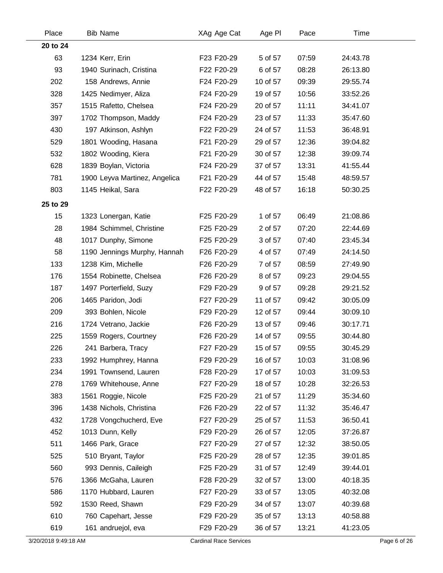| Place    | <b>Bib Name</b>               | XAg Age Cat | Age PI   | Pace  | Time     |  |
|----------|-------------------------------|-------------|----------|-------|----------|--|
| 20 to 24 |                               |             |          |       |          |  |
| 63       | 1234 Kerr, Erin               | F23 F20-29  | 5 of 57  | 07:59 | 24:43.78 |  |
| 93       | 1940 Surinach, Cristina       | F22 F20-29  | 6 of 57  | 08:28 | 26:13.80 |  |
| 202      | 158 Andrews, Annie            | F24 F20-29  | 10 of 57 | 09:39 | 29:55.74 |  |
| 328      | 1425 Nedimyer, Aliza          | F24 F20-29  | 19 of 57 | 10:56 | 33:52.26 |  |
| 357      | 1515 Rafetto, Chelsea         | F24 F20-29  | 20 of 57 | 11:11 | 34:41.07 |  |
| 397      | 1702 Thompson, Maddy          | F24 F20-29  | 23 of 57 | 11:33 | 35:47.60 |  |
| 430      | 197 Atkinson, Ashlyn          | F22 F20-29  | 24 of 57 | 11:53 | 36:48.91 |  |
| 529      | 1801 Wooding, Hasana          | F21 F20-29  | 29 of 57 | 12:36 | 39:04.82 |  |
| 532      | 1802 Wooding, Kiera           | F21 F20-29  | 30 of 57 | 12:38 | 39:09.74 |  |
| 628      | 1839 Boylan, Victoria         | F24 F20-29  | 37 of 57 | 13:31 | 41:55.44 |  |
| 781      | 1900 Leyva Martinez, Angelica | F21 F20-29  | 44 of 57 | 15:48 | 48:59.57 |  |
| 803      | 1145 Heikal, Sara             | F22 F20-29  | 48 of 57 | 16:18 | 50:30.25 |  |
| 25 to 29 |                               |             |          |       |          |  |
| 15       | 1323 Lonergan, Katie          | F25 F20-29  | 1 of 57  | 06:49 | 21:08.86 |  |
| 28       | 1984 Schimmel, Christine      | F25 F20-29  | 2 of 57  | 07:20 | 22:44.69 |  |
| 48       | 1017 Dunphy, Simone           | F25 F20-29  | 3 of 57  | 07:40 | 23:45.34 |  |
| 58       | 1190 Jennings Murphy, Hannah  | F26 F20-29  | 4 of 57  | 07:49 | 24:14.50 |  |
| 133      | 1238 Kim, Michelle            | F26 F20-29  | 7 of 57  | 08:59 | 27:49.90 |  |
| 176      | 1554 Robinette, Chelsea       | F26 F20-29  | 8 of 57  | 09:23 | 29:04.55 |  |
| 187      | 1497 Porterfield, Suzy        | F29 F20-29  | 9 of 57  | 09:28 | 29:21.52 |  |
| 206      | 1465 Paridon, Jodi            | F27 F20-29  | 11 of 57 | 09:42 | 30:05.09 |  |
| 209      | 393 Bohlen, Nicole            | F29 F20-29  | 12 of 57 | 09:44 | 30:09.10 |  |
| 216      | 1724 Vetrano, Jackie          | F26 F20-29  | 13 of 57 | 09:46 | 30:17.71 |  |
| 225      | 1559 Rogers, Courtney         | F26 F20-29  | 14 of 57 | 09:55 | 30:44.80 |  |
| 226      | 241 Barbera, Tracy            | F27 F20-29  | 15 of 57 | 09:55 | 30:45.29 |  |
| 233      | 1992 Humphrey, Hanna          | F29 F20-29  | 16 of 57 | 10:03 | 31:08.96 |  |
| 234      | 1991 Townsend, Lauren         | F28 F20-29  | 17 of 57 | 10:03 | 31:09.53 |  |
| 278      | 1769 Whitehouse, Anne         | F27 F20-29  | 18 of 57 | 10:28 | 32:26.53 |  |
| 383      | 1561 Roggie, Nicole           | F25 F20-29  | 21 of 57 | 11:29 | 35:34.60 |  |
| 396      | 1438 Nichols, Christina       | F26 F20-29  | 22 of 57 | 11:32 | 35:46.47 |  |
| 432      | 1728 Vongchucherd, Eve        | F27 F20-29  | 25 of 57 | 11:53 | 36:50.41 |  |
| 452      | 1013 Dunn, Kelly              | F29 F20-29  | 26 of 57 | 12:05 | 37:26.87 |  |
| 511      | 1466 Park, Grace              | F27 F20-29  | 27 of 57 | 12:32 | 38:50.05 |  |
| 525      | 510 Bryant, Taylor            | F25 F20-29  | 28 of 57 | 12:35 | 39:01.85 |  |
| 560      | 993 Dennis, Caileigh          | F25 F20-29  | 31 of 57 | 12:49 | 39:44.01 |  |
| 576      | 1366 McGaha, Lauren           | F28 F20-29  | 32 of 57 | 13:00 | 40:18.35 |  |
| 586      | 1170 Hubbard, Lauren          | F27 F20-29  | 33 of 57 | 13:05 | 40:32.08 |  |
| 592      | 1530 Reed, Shawn              | F29 F20-29  | 34 of 57 | 13:07 | 40:39.68 |  |
| 610      | 760 Capehart, Jesse           | F29 F20-29  | 35 of 57 | 13:13 | 40:58.88 |  |
| 619      | 161 andruejol, eva            | F29 F20-29  | 36 of 57 | 13:21 | 41:23.05 |  |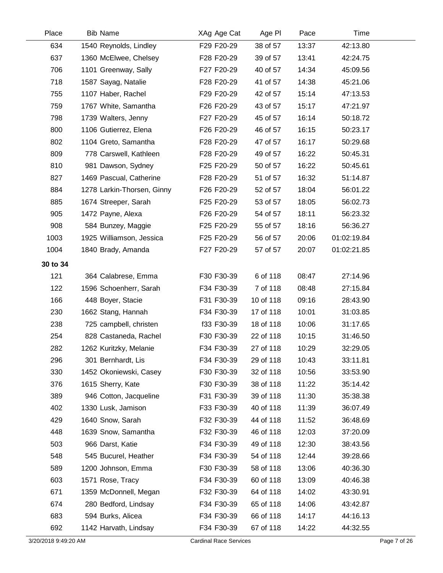| Place    | <b>Bib Name</b>            | XAg Age Cat | Age PI    | Pace  | Time        |  |
|----------|----------------------------|-------------|-----------|-------|-------------|--|
| 634      | 1540 Reynolds, Lindley     | F29 F20-29  | 38 of 57  | 13:37 | 42:13.80    |  |
| 637      | 1360 McElwee, Chelsey      | F28 F20-29  | 39 of 57  | 13:41 | 42:24.75    |  |
| 706      | 1101 Greenway, Sally       | F27 F20-29  | 40 of 57  | 14:34 | 45:09.56    |  |
| 718      | 1587 Sayag, Natalie        | F28 F20-29  | 41 of 57  | 14:38 | 45:21.06    |  |
| 755      | 1107 Haber, Rachel         | F29 F20-29  | 42 of 57  | 15:14 | 47:13.53    |  |
| 759      | 1767 White, Samantha       | F26 F20-29  | 43 of 57  | 15:17 | 47:21.97    |  |
| 798      | 1739 Walters, Jenny        | F27 F20-29  | 45 of 57  | 16:14 | 50:18.72    |  |
| 800      | 1106 Gutierrez, Elena      | F26 F20-29  | 46 of 57  | 16:15 | 50:23.17    |  |
| 802      | 1104 Greto, Samantha       | F28 F20-29  | 47 of 57  | 16:17 | 50:29.68    |  |
| 809      | 778 Carswell, Kathleen     | F28 F20-29  | 49 of 57  | 16:22 | 50:45.31    |  |
| 810      | 981 Dawson, Sydney         | F25 F20-29  | 50 of 57  | 16:22 | 50:45.61    |  |
| 827      | 1469 Pascual, Catherine    | F28 F20-29  | 51 of 57  | 16:32 | 51:14.87    |  |
| 884      | 1278 Larkin-Thorsen, Ginny | F26 F20-29  | 52 of 57  | 18:04 | 56:01.22    |  |
| 885      | 1674 Streeper, Sarah       | F25 F20-29  | 53 of 57  | 18:05 | 56:02.73    |  |
| 905      | 1472 Payne, Alexa          | F26 F20-29  | 54 of 57  | 18:11 | 56:23.32    |  |
| 908      | 584 Bunzey, Maggie         | F25 F20-29  | 55 of 57  | 18:16 | 56:36.27    |  |
| 1003     | 1925 Williamson, Jessica   | F25 F20-29  | 56 of 57  | 20:06 | 01:02:19.84 |  |
| 1004     | 1840 Brady, Amanda         | F27 F20-29  | 57 of 57  | 20:07 | 01:02:21.85 |  |
| 30 to 34 |                            |             |           |       |             |  |
| 121      | 364 Calabrese, Emma        | F30 F30-39  | 6 of 118  | 08:47 | 27:14.96    |  |
| 122      | 1596 Schoenherr, Sarah     | F34 F30-39  | 7 of 118  | 08:48 | 27:15.84    |  |
| 166      | 448 Boyer, Stacie          | F31 F30-39  | 10 of 118 | 09:16 | 28:43.90    |  |
| 230      | 1662 Stang, Hannah         | F34 F30-39  | 17 of 118 | 10:01 | 31:03.85    |  |
| 238      | 725 campbell, christen     | f33 F30-39  | 18 of 118 | 10:06 | 31:17.65    |  |
| 254      | 828 Castaneda, Rachel      | F30 F30-39  | 22 of 118 | 10:15 | 31:46.50    |  |
| 282      | 1262 Kuritzky, Melanie     | F34 F30-39  | 27 of 118 | 10:29 | 32:29.05    |  |
| 296      | 301 Bernhardt, Lis         | F34 F30-39  | 29 of 118 | 10:43 | 33:11.81    |  |
| 330      | 1452 Okoniewski, Casey     | F30 F30-39  | 32 of 118 | 10:56 | 33:53.90    |  |
| 376      | 1615 Sherry, Kate          | F30 F30-39  | 38 of 118 | 11:22 | 35:14.42    |  |
| 389      | 946 Cotton, Jacqueline     | F31 F30-39  | 39 of 118 | 11:30 | 35:38.38    |  |
| 402      | 1330 Lusk, Jamison         | F33 F30-39  | 40 of 118 | 11:39 | 36:07.49    |  |
| 429      | 1640 Snow, Sarah           | F32 F30-39  | 44 of 118 | 11:52 | 36:48.69    |  |
| 448      | 1639 Snow, Samantha        | F32 F30-39  | 46 of 118 | 12:03 | 37:20.09    |  |
| 503      | 966 Darst, Katie           | F34 F30-39  | 49 of 118 | 12:30 | 38:43.56    |  |
| 548      | 545 Bucurel, Heather       | F34 F30-39  | 54 of 118 | 12:44 | 39:28.66    |  |
| 589      | 1200 Johnson, Emma         | F30 F30-39  | 58 of 118 | 13:06 | 40:36.30    |  |
| 603      | 1571 Rose, Tracy           | F34 F30-39  | 60 of 118 | 13:09 | 40:46.38    |  |
| 671      | 1359 McDonnell, Megan      | F32 F30-39  | 64 of 118 | 14:02 | 43:30.91    |  |
| 674      | 280 Bedford, Lindsay       | F34 F30-39  | 65 of 118 | 14:06 | 43:42.87    |  |
| 683      | 594 Burks, Alicea          | F34 F30-39  | 66 of 118 | 14:17 | 44:16.13    |  |
| 692      | 1142 Harvath, Lindsay      | F34 F30-39  | 67 of 118 | 14:22 | 44:32.55    |  |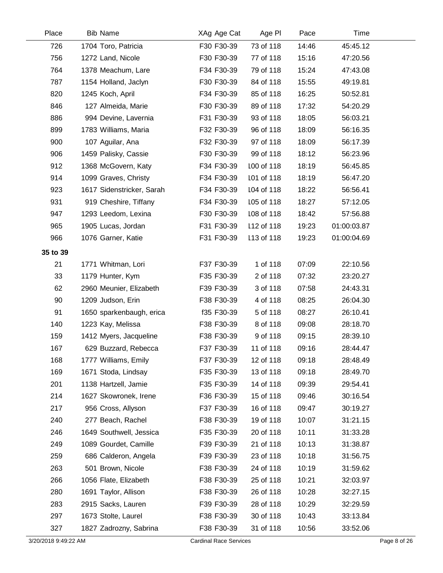| Place    | <b>Bib Name</b>           | XAg Age Cat | Age PI     | Pace  | Time        |  |
|----------|---------------------------|-------------|------------|-------|-------------|--|
| 726      | 1704 Toro, Patricia       | F30 F30-39  | 73 of 118  | 14:46 | 45:45.12    |  |
| 756      | 1272 Land, Nicole         | F30 F30-39  | 77 of 118  | 15:16 | 47:20.56    |  |
| 764      | 1378 Meachum, Lare        | F34 F30-39  | 79 of 118  | 15:24 | 47:43.08    |  |
| 787      | 1154 Holland, Jaclyn      | F30 F30-39  | 84 of 118  | 15:55 | 49:19.81    |  |
| 820      | 1245 Koch, April          | F34 F30-39  | 85 of 118  | 16:25 | 50:52.81    |  |
| 846      | 127 Almeida, Marie        | F30 F30-39  | 89 of 118  | 17:32 | 54:20.29    |  |
| 886      | 994 Devine, Lavernia      | F31 F30-39  | 93 of 118  | 18:05 | 56:03.21    |  |
| 899      | 1783 Williams, Maria      | F32 F30-39  | 96 of 118  | 18:09 | 56:16.35    |  |
| 900      | 107 Aguilar, Ana          | F32 F30-39  | 97 of 118  | 18:09 | 56:17.39    |  |
| 906      | 1459 Palisky, Cassie      | F30 F30-39  | 99 of 118  | 18:12 | 56:23.96    |  |
| 912      | 1368 McGovern, Katy       | F34 F30-39  | 100 of 118 | 18:19 | 56:45.85    |  |
| 914      | 1099 Graves, Christy      | F34 F30-39  | 101 of 118 | 18:19 | 56:47.20    |  |
| 923      | 1617 Sidenstricker, Sarah | F34 F30-39  | 104 of 118 | 18:22 | 56:56.41    |  |
| 931      | 919 Cheshire, Tiffany     | F34 F30-39  | 105 of 118 | 18:27 | 57:12.05    |  |
| 947      | 1293 Leedom, Lexina       | F30 F30-39  | 108 of 118 | 18:42 | 57:56.88    |  |
| 965      | 1905 Lucas, Jordan        | F31 F30-39  | 112 of 118 | 19:23 | 01:00:03.87 |  |
| 966      | 1076 Garner, Katie        | F31 F30-39  | 113 of 118 | 19:23 | 01:00:04.69 |  |
| 35 to 39 |                           |             |            |       |             |  |
| 21       | 1771 Whitman, Lori        | F37 F30-39  | 1 of 118   | 07:09 | 22:10.56    |  |
| 33       | 1179 Hunter, Kym          | F35 F30-39  | 2 of 118   | 07:32 | 23:20.27    |  |
| 62       | 2960 Meunier, Elizabeth   | F39 F30-39  | 3 of 118   | 07:58 | 24:43.31    |  |
| 90       | 1209 Judson, Erin         | F38 F30-39  | 4 of 118   | 08:25 | 26:04.30    |  |
| 91       | 1650 sparkenbaugh, erica  | f35 F30-39  | 5 of 118   | 08:27 | 26:10.41    |  |
| 140      | 1223 Kay, Melissa         | F38 F30-39  | 8 of 118   | 09:08 | 28:18.70    |  |
| 159      | 1412 Myers, Jacqueline    | F38 F30-39  | 9 of 118   | 09:15 | 28:39.10    |  |
| 167      | 629 Buzzard, Rebecca      | F37 F30-39  | 11 of 118  | 09:16 | 28:44.47    |  |
| 168      | 1777 Williams, Emily      | F37 F30-39  | 12 of 118  | 09:18 | 28:48.49    |  |
| 169      | 1671 Stoda, Lindsay       | F35 F30-39  | 13 of 118  | 09:18 | 28:49.70    |  |
| 201      | 1138 Hartzell, Jamie      | F35 F30-39  | 14 of 118  | 09:39 | 29:54.41    |  |
| 214      | 1627 Skowronek, Irene     | F36 F30-39  | 15 of 118  | 09:46 | 30:16.54    |  |
| 217      | 956 Cross, Allyson        | F37 F30-39  | 16 of 118  | 09:47 | 30:19.27    |  |
| 240      | 277 Beach, Rachel         | F38 F30-39  | 19 of 118  | 10:07 | 31:21.15    |  |
| 246      | 1649 Southwell, Jessica   | F35 F30-39  | 20 of 118  | 10:11 | 31:33.28    |  |
| 249      | 1089 Gourdet, Camille     | F39 F30-39  | 21 of 118  | 10:13 | 31:38.87    |  |
| 259      | 686 Calderon, Angela      | F39 F30-39  | 23 of 118  | 10:18 | 31:56.75    |  |
| 263      | 501 Brown, Nicole         | F38 F30-39  | 24 of 118  | 10:19 | 31:59.62    |  |
| 266      | 1056 Flate, Elizabeth     | F38 F30-39  | 25 of 118  | 10:21 | 32:03.97    |  |
| 280      | 1691 Taylor, Allison      | F38 F30-39  | 26 of 118  | 10:28 | 32:27.15    |  |
| 283      | 2915 Sacks, Lauren        | F39 F30-39  | 28 of 118  | 10:29 | 32:29.59    |  |
| 297      | 1673 Stolte, Laurel       | F38 F30-39  | 30 of 118  | 10:43 | 33:13.84    |  |
| 327      | 1827 Zadrozny, Sabrina    | F38 F30-39  | 31 of 118  | 10:56 | 33:52.06    |  |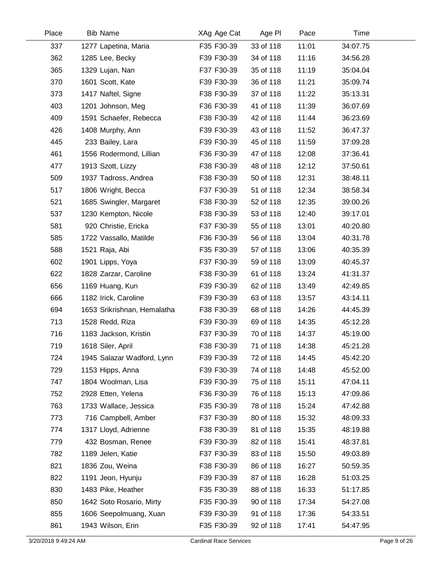| Place | <b>Bib Name</b>             | XAg Age Cat | Age PI    | Pace  | Time     |  |
|-------|-----------------------------|-------------|-----------|-------|----------|--|
| 337   | 1277 Lapetina, Maria        | F35 F30-39  | 33 of 118 | 11:01 | 34:07.75 |  |
| 362   | 1285 Lee, Becky             | F39 F30-39  | 34 of 118 | 11:16 | 34:56.28 |  |
| 365   | 1329 Lujan, Nan             | F37 F30-39  | 35 of 118 | 11:19 | 35:04.04 |  |
| 370   | 1601 Scott, Kate            | F39 F30-39  | 36 of 118 | 11:21 | 35:09.74 |  |
| 373   | 1417 Naftel, Signe          | F38 F30-39  | 37 of 118 | 11:22 | 35:13.31 |  |
| 403   | 1201 Johnson, Meg           | F36 F30-39  | 41 of 118 | 11:39 | 36:07.69 |  |
| 409   | 1591 Schaefer, Rebecca      | F38 F30-39  | 42 of 118 | 11:44 | 36:23.69 |  |
| 426   | 1408 Murphy, Ann            | F39 F30-39  | 43 of 118 | 11:52 | 36:47.37 |  |
| 445   | 233 Bailey, Lara            | F39 F30-39  | 45 of 118 | 11:59 | 37:09.28 |  |
| 461   | 1556 Rodermond, Lillian     | F36 F30-39  | 47 of 118 | 12:08 | 37:36.41 |  |
| 477   | 1913 Szott, Lizzy           | F38 F30-39  | 48 of 118 | 12:12 | 37:50.61 |  |
| 509   | 1937 Tadross, Andrea        | F38 F30-39  | 50 of 118 | 12:31 | 38:48.11 |  |
| 517   | 1806 Wright, Becca          | F37 F30-39  | 51 of 118 | 12:34 | 38:58.34 |  |
| 521   | 1685 Swingler, Margaret     | F38 F30-39  | 52 of 118 | 12:35 | 39:00.26 |  |
| 537   | 1230 Kempton, Nicole        | F38 F30-39  | 53 of 118 | 12:40 | 39:17.01 |  |
| 581   | 920 Christie, Ericka        | F37 F30-39  | 55 of 118 | 13:01 | 40:20.80 |  |
| 585   | 1722 Vassallo, Matilde      | F36 F30-39  | 56 of 118 | 13:04 | 40:31.78 |  |
| 588   | 1521 Raja, Abi              | F35 F30-39  | 57 of 118 | 13:06 | 40:35.39 |  |
| 602   | 1901 Lipps, Yoya            | F37 F30-39  | 59 of 118 | 13:09 | 40:45.37 |  |
| 622   | 1828 Zarzar, Caroline       | F38 F30-39  | 61 of 118 | 13:24 | 41:31.37 |  |
| 656   | 1169 Huang, Kun             | F39 F30-39  | 62 of 118 | 13:49 | 42:49.85 |  |
| 666   | 1182 Irick, Caroline        | F39 F30-39  | 63 of 118 | 13:57 | 43:14.11 |  |
| 694   | 1653 Srikrishnan, Hemalatha | F38 F30-39  | 68 of 118 | 14:26 | 44:45.39 |  |
| 713   | 1528 Redd, Riza             | F39 F30-39  | 69 of 118 | 14:35 | 45:12.28 |  |
| 716   | 1183 Jackson, Kristin       | F37 F30-39  | 70 of 118 | 14:37 | 45:19.00 |  |
| 719   | 1618 Siler, April           | F38 F30-39  | 71 of 118 | 14:38 | 45:21.28 |  |
| 724   | 1945 Salazar Wadford, Lynn  | F39 F30-39  | 72 of 118 | 14:45 | 45:42.20 |  |
| 729   | 1153 Hipps, Anna            | F39 F30-39  | 74 of 118 | 14:48 | 45:52.00 |  |
| 747   | 1804 Woolman, Lisa          | F39 F30-39  | 75 of 118 | 15:11 | 47:04.11 |  |
| 752   | 2928 Etten, Yelena          | F36 F30-39  | 76 of 118 | 15:13 | 47:09.86 |  |
| 763   | 1733 Wallace, Jessica       | F35 F30-39  | 78 of 118 | 15:24 | 47:42.88 |  |
| 773   | 716 Campbell, Amber         | F37 F30-39  | 80 of 118 | 15:32 | 48:09.33 |  |
| 774   | 1317 Lloyd, Adrienne        | F38 F30-39  | 81 of 118 | 15:35 | 48:19.88 |  |
| 779   | 432 Bosman, Renee           | F39 F30-39  | 82 of 118 | 15:41 | 48:37.81 |  |
| 782   | 1189 Jelen, Katie           | F37 F30-39  | 83 of 118 | 15:50 | 49:03.89 |  |
| 821   | 1836 Zou, Weina             | F38 F30-39  | 86 of 118 | 16:27 | 50:59.35 |  |
| 822   | 1191 Jeon, Hyunju           | F39 F30-39  | 87 of 118 | 16:28 | 51:03.25 |  |
| 830   | 1483 Pike, Heather          | F35 F30-39  | 88 of 118 | 16:33 | 51:17.85 |  |
| 850   | 1642 Soto Rosario, Mirty    | F35 F30-39  | 90 of 118 | 17:34 | 54:27.08 |  |
| 855   | 1606 Seepolmuang, Xuan      | F39 F30-39  | 91 of 118 | 17:36 | 54:33.51 |  |
| 861   | 1943 Wilson, Erin           | F35 F30-39  | 92 of 118 | 17:41 | 54:47.95 |  |
|       |                             |             |           |       |          |  |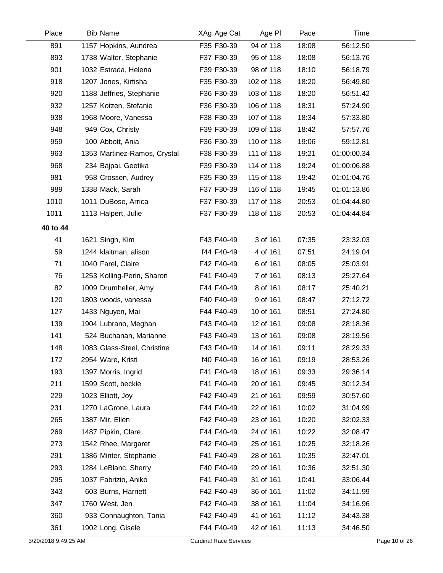| Place    | <b>Bib Name</b>              | XAg Age Cat | Age PI     | Pace  | Time        |  |
|----------|------------------------------|-------------|------------|-------|-------------|--|
| 891      | 1157 Hopkins, Aundrea        | F35 F30-39  | 94 of 118  | 18:08 | 56:12.50    |  |
| 893      | 1738 Walter, Stephanie       | F37 F30-39  | 95 of 118  | 18:08 | 56:13.76    |  |
| 901      | 1032 Estrada, Helena         | F39 F30-39  | 98 of 118  | 18:10 | 56:18.79    |  |
| 918      | 1207 Jones, Kirtisha         | F35 F30-39  | 102 of 118 | 18:20 | 56:49.80    |  |
| 920      | 1188 Jeffries, Stephanie     | F36 F30-39  | 103 of 118 | 18:20 | 56:51.42    |  |
| 932      | 1257 Kotzen, Stefanie        | F36 F30-39  | 106 of 118 | 18:31 | 57:24.90    |  |
| 938      | 1968 Moore, Vanessa          | F38 F30-39  | 107 of 118 | 18:34 | 57:33.80    |  |
| 948      | 949 Cox, Christy             | F39 F30-39  | 109 of 118 | 18:42 | 57:57.76    |  |
| 959      | 100 Abbott, Ania             | F36 F30-39  | 110 of 118 | 19:06 | 59:12.81    |  |
| 963      | 1353 Martinez-Ramos, Crystal | F38 F30-39  | 111 of 118 | 19:21 | 01:00:00.34 |  |
| 968      | 234 Bajpai, Geetika          | F39 F30-39  | 114 of 118 | 19:24 | 01:00:06.88 |  |
| 981      | 958 Crossen, Audrey          | F35 F30-39  | 115 of 118 | 19:42 | 01:01:04.76 |  |
| 989      | 1338 Mack, Sarah             | F37 F30-39  | 116 of 118 | 19:45 | 01:01:13.86 |  |
| 1010     | 1011 DuBose, Arrica          | F37 F30-39  | 117 of 118 | 20:53 | 01:04:44.80 |  |
| 1011     | 1113 Halpert, Julie          | F37 F30-39  | 118 of 118 | 20:53 | 01:04:44.84 |  |
| 40 to 44 |                              |             |            |       |             |  |
| 41       | 1621 Singh, Kim              | F43 F40-49  | 3 of 161   | 07:35 | 23:32.03    |  |
| 59       | 1244 klaitman, alison        | f44 F40-49  | 4 of 161   | 07:51 | 24:19.04    |  |
| 71       | 1040 Farel, Claire           | F42 F40-49  | 6 of 161   | 08:05 | 25:03.91    |  |
| 76       | 1253 Kolling-Perin, Sharon   | F41 F40-49  | 7 of 161   | 08:13 | 25:27.64    |  |
| 82       | 1009 Drumheller, Amy         | F44 F40-49  | 8 of 161   | 08:17 | 25:40.21    |  |
| 120      | 1803 woods, vanessa          | F40 F40-49  | 9 of 161   | 08:47 | 27:12.72    |  |
| 127      | 1433 Nguyen, Mai             | F44 F40-49  | 10 of 161  | 08:51 | 27:24.80    |  |
| 139      | 1904 Lubrano, Meghan         | F43 F40-49  | 12 of 161  | 09:08 | 28:18.36    |  |
| 141      | 524 Buchanan, Marianne       | F43 F40-49  | 13 of 161  | 09:08 | 28:19.56    |  |
| 148      | 1083 Glass-Steel, Christine  | F43 F40-49  | 14 of 161  | 09:11 | 28:29.33    |  |
| 172      | 2954 Ware, Kristi            | f40 F40-49  | 16 of 161  | 09:19 | 28:53.26    |  |
| 193      | 1397 Morris, Ingrid          | F41 F40-49  | 18 of 161  | 09:33 | 29:36.14    |  |
| 211      | 1599 Scott, beckie           | F41 F40-49  | 20 of 161  | 09:45 | 30:12.34    |  |
| 229      | 1023 Elliott, Joy            | F42 F40-49  | 21 of 161  | 09:59 | 30:57.60    |  |
| 231      | 1270 LaGrone, Laura          | F44 F40-49  | 22 of 161  | 10:02 | 31:04.99    |  |
| 265      | 1387 Mir, Ellen              | F42 F40-49  | 23 of 161  | 10:20 | 32:02.33    |  |
| 269      | 1487 Pipkin, Clare           | F44 F40-49  | 24 of 161  | 10:22 | 32:08.47    |  |
| 273      | 1542 Rhee, Margaret          | F42 F40-49  | 25 of 161  | 10:25 | 32:18.26    |  |
| 291      | 1386 Minter, Stephanie       | F41 F40-49  | 28 of 161  | 10:35 | 32:47.01    |  |
| 293      | 1284 LeBlanc, Sherry         | F40 F40-49  | 29 of 161  | 10:36 | 32:51.30    |  |
| 295      | 1037 Fabrizio, Aniko         | F41 F40-49  | 31 of 161  | 10:41 | 33:06.44    |  |
| 343      | 603 Burns, Harriett          | F42 F40-49  | 36 of 161  | 11:02 | 34:11.99    |  |
| 347      | 1760 West, Jen               | F42 F40-49  | 38 of 161  | 11:04 | 34:16.96    |  |
| 360      | 933 Connaughton, Tania       | F42 F40-49  | 41 of 161  | 11:12 | 34:43.38    |  |
| 361      | 1902 Long, Gisele            | F44 F40-49  | 42 of 161  | 11:13 | 34:46.50    |  |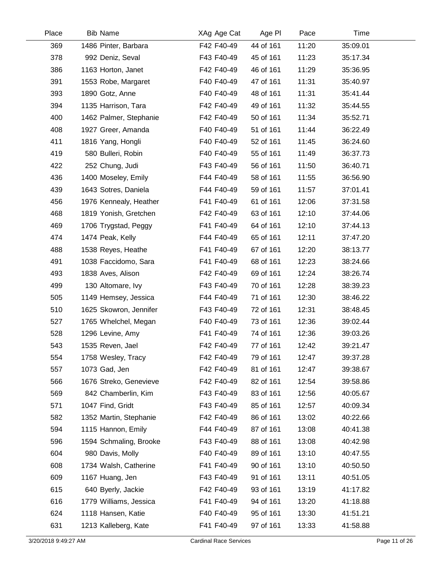| Place | <b>Bib Name</b>        | XAg Age Cat | Age PI    | Pace  | Time     |  |
|-------|------------------------|-------------|-----------|-------|----------|--|
| 369   | 1486 Pinter, Barbara   | F42 F40-49  | 44 of 161 | 11:20 | 35:09.01 |  |
| 378   | 992 Deniz, Seval       | F43 F40-49  | 45 of 161 | 11:23 | 35:17.34 |  |
| 386   | 1163 Horton, Janet     | F42 F40-49  | 46 of 161 | 11:29 | 35:36.95 |  |
| 391   | 1553 Robe, Margaret    | F40 F40-49  | 47 of 161 | 11:31 | 35:40.97 |  |
| 393   | 1890 Gotz, Anne        | F40 F40-49  | 48 of 161 | 11:31 | 35:41.44 |  |
| 394   | 1135 Harrison, Tara    | F42 F40-49  | 49 of 161 | 11:32 | 35:44.55 |  |
| 400   | 1462 Palmer, Stephanie | F42 F40-49  | 50 of 161 | 11:34 | 35:52.71 |  |
| 408   | 1927 Greer, Amanda     | F40 F40-49  | 51 of 161 | 11:44 | 36:22.49 |  |
| 411   | 1816 Yang, Hongli      | F40 F40-49  | 52 of 161 | 11:45 | 36:24.60 |  |
| 419   | 580 Bulleri, Robin     | F40 F40-49  | 55 of 161 | 11:49 | 36:37.73 |  |
| 422   | 252 Chung, Judi        | F43 F40-49  | 56 of 161 | 11:50 | 36:40.71 |  |
| 436   | 1400 Moseley, Emily    | F44 F40-49  | 58 of 161 | 11:55 | 36:56.90 |  |
| 439   | 1643 Sotres, Daniela   | F44 F40-49  | 59 of 161 | 11:57 | 37:01.41 |  |
| 456   | 1976 Kennealy, Heather | F41 F40-49  | 61 of 161 | 12:06 | 37:31.58 |  |
| 468   | 1819 Yonish, Gretchen  | F42 F40-49  | 63 of 161 | 12:10 | 37:44.06 |  |
| 469   | 1706 Trygstad, Peggy   | F41 F40-49  | 64 of 161 | 12:10 | 37:44.13 |  |
| 474   | 1474 Peak, Kelly       | F44 F40-49  | 65 of 161 | 12:11 | 37:47.20 |  |
| 488   | 1538 Reyes, Heathe     | F41 F40-49  | 67 of 161 | 12:20 | 38:13.77 |  |
| 491   | 1038 Faccidomo, Sara   | F41 F40-49  | 68 of 161 | 12:23 | 38:24.66 |  |
| 493   | 1838 Aves, Alison      | F42 F40-49  | 69 of 161 | 12:24 | 38:26.74 |  |
| 499   | 130 Altomare, Ivy      | F43 F40-49  | 70 of 161 | 12:28 | 38:39.23 |  |
| 505   | 1149 Hemsey, Jessica   | F44 F40-49  | 71 of 161 | 12:30 | 38:46.22 |  |
| 510   | 1625 Skowron, Jennifer | F43 F40-49  | 72 of 161 | 12:31 | 38:48.45 |  |
| 527   | 1765 Whelchel, Megan   | F40 F40-49  | 73 of 161 | 12:36 | 39:02.44 |  |
| 528   | 1296 Levine, Amy       | F41 F40-49  | 74 of 161 | 12:36 | 39:03.26 |  |
| 543   | 1535 Reven, Jael       | F42 F40-49  | 77 of 161 | 12:42 | 39:21.47 |  |
| 554   | 1758 Wesley, Tracy     | F42 F40-49  | 79 of 161 | 12:47 | 39:37.28 |  |
| 557   | 1073 Gad, Jen          | F42 F40-49  | 81 of 161 | 12:47 | 39:38.67 |  |
| 566   | 1676 Streko, Genevieve | F42 F40-49  | 82 of 161 | 12:54 | 39:58.86 |  |
| 569   | 842 Chamberlin, Kim    | F43 F40-49  | 83 of 161 | 12:56 | 40:05.67 |  |
| 571   | 1047 Find, Gridt       | F43 F40-49  | 85 of 161 | 12:57 | 40:09.34 |  |
| 582   | 1352 Martin, Stephanie | F42 F40-49  | 86 of 161 | 13:02 | 40:22.66 |  |
| 594   | 1115 Hannon, Emily     | F44 F40-49  | 87 of 161 | 13:08 | 40:41.38 |  |
| 596   | 1594 Schmaling, Brooke | F43 F40-49  | 88 of 161 | 13:08 | 40:42.98 |  |
| 604   | 980 Davis, Molly       | F40 F40-49  | 89 of 161 | 13:10 | 40:47.55 |  |
| 608   | 1734 Walsh, Catherine  | F41 F40-49  | 90 of 161 | 13:10 | 40:50.50 |  |
| 609   | 1167 Huang, Jen        | F43 F40-49  | 91 of 161 | 13:11 | 40:51.05 |  |
| 615   | 640 Byerly, Jackie     | F42 F40-49  | 93 of 161 | 13:19 | 41:17.82 |  |
| 616   | 1779 Williams, Jessica | F41 F40-49  | 94 of 161 | 13:20 | 41:18.88 |  |
| 624   | 1118 Hansen, Katie     | F40 F40-49  | 95 of 161 | 13:30 | 41:51.21 |  |
| 631   | 1213 Kalleberg, Kate   | F41 F40-49  | 97 of 161 | 13:33 | 41:58.88 |  |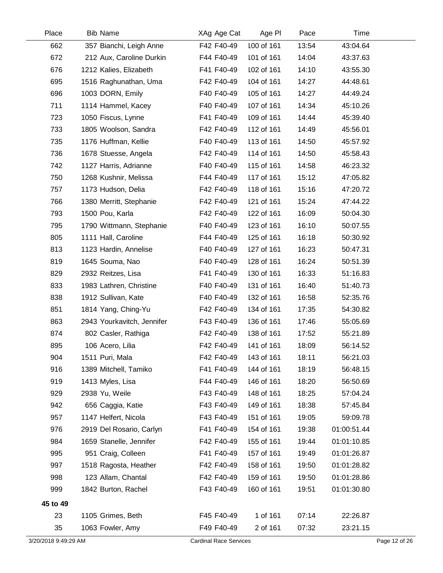| Place                | <b>Bib Name</b>            | XAg Age Cat                   | Age PI     | Pace  | Time        |               |
|----------------------|----------------------------|-------------------------------|------------|-------|-------------|---------------|
| 662                  | 357 Bianchi, Leigh Anne    | F42 F40-49                    | 100 of 161 | 13:54 | 43:04.64    |               |
| 672                  | 212 Aux, Caroline Durkin   | F44 F40-49                    | 101 of 161 | 14:04 | 43:37.63    |               |
| 676                  | 1212 Kalies, Elizabeth     | F41 F40-49                    | 102 of 161 | 14:10 | 43:55.30    |               |
| 695                  | 1516 Raghunathan, Uma      | F42 F40-49                    | 104 of 161 | 14:27 | 44:48.61    |               |
| 696                  | 1003 DORN, Emily           | F40 F40-49                    | 105 of 161 | 14:27 | 44:49.24    |               |
| 711                  | 1114 Hammel, Kacey         | F40 F40-49                    | 107 of 161 | 14:34 | 45:10.26    |               |
| 723                  | 1050 Fiscus, Lynne         | F41 F40-49                    | 109 of 161 | 14:44 | 45:39.40    |               |
| 733                  | 1805 Woolson, Sandra       | F42 F40-49                    | 112 of 161 | 14:49 | 45:56.01    |               |
| 735                  | 1176 Huffman, Kellie       | F40 F40-49                    | 113 of 161 | 14:50 | 45:57.92    |               |
| 736                  | 1678 Stuesse, Angela       | F42 F40-49                    | 114 of 161 | 14:50 | 45:58.43    |               |
| 742                  | 1127 Harris, Adrianne      | F40 F40-49                    | 115 of 161 | 14:58 | 46:23.32    |               |
| 750                  | 1268 Kushnir, Melissa      | F44 F40-49                    | 117 of 161 | 15:12 | 47:05.82    |               |
| 757                  | 1173 Hudson, Delia         | F42 F40-49                    | 118 of 161 | 15:16 | 47:20.72    |               |
| 766                  | 1380 Merritt, Stephanie    | F42 F40-49                    | 121 of 161 | 15:24 | 47:44.22    |               |
| 793                  | 1500 Pou, Karla            | F42 F40-49                    | 122 of 161 | 16:09 | 50:04.30    |               |
| 795                  | 1790 Wittmann, Stephanie   | F40 F40-49                    | 123 of 161 | 16:10 | 50:07.55    |               |
| 805                  | 1111 Hall, Caroline        | F44 F40-49                    | 125 of 161 | 16:18 | 50:30.92    |               |
| 813                  | 1123 Hardin, Annelise      | F40 F40-49                    | 127 of 161 | 16:23 | 50:47.31    |               |
| 819                  | 1645 Souma, Nao            | F40 F40-49                    | 128 of 161 | 16:24 | 50:51.39    |               |
| 829                  | 2932 Reitzes, Lisa         | F41 F40-49                    | 130 of 161 | 16:33 | 51:16.83    |               |
| 833                  | 1983 Lathren, Christine    | F40 F40-49                    | 131 of 161 | 16:40 | 51:40.73    |               |
| 838                  | 1912 Sullivan, Kate        | F40 F40-49                    | 132 of 161 | 16:58 | 52:35.76    |               |
| 851                  | 1814 Yang, Ching-Yu        | F42 F40-49                    | 134 of 161 | 17:35 | 54:30.82    |               |
| 863                  | 2943 Yourkavitch, Jennifer | F43 F40-49                    | 136 of 161 | 17:46 | 55:05.69    |               |
| 874                  | 802 Casler, Rathiga        | F42 F40-49                    | 138 of 161 | 17:52 | 55:21.89    |               |
| 895                  | 106 Acero, Lilia           | F42 F40-49                    | 141 of 161 | 18:09 | 56:14.52    |               |
| 904                  | 1511 Puri, Mala            | F42 F40-49                    | 143 of 161 | 18:11 | 56:21.03    |               |
| 916                  | 1389 Mitchell, Tamiko      | F41 F40-49                    | 144 of 161 | 18:19 | 56:48.15    |               |
| 919                  | 1413 Myles, Lisa           | F44 F40-49                    | 146 of 161 | 18:20 | 56:50.69    |               |
| 929                  | 2938 Yu, Weile             | F43 F40-49                    | 148 of 161 | 18:25 | 57:04.24    |               |
| 942                  | 656 Caggia, Katie          | F43 F40-49                    | 149 of 161 | 18:38 | 57:45.84    |               |
| 957                  | 1147 Helfert, Nicola       | F43 F40-49                    | 151 of 161 | 19:05 | 59:09.78    |               |
| 976                  | 2919 Del Rosario, Carlyn   | F41 F40-49                    | 154 of 161 | 19:38 | 01:00:51.44 |               |
| 984                  | 1659 Stanelle, Jennifer    | F42 F40-49                    | 155 of 161 | 19:44 | 01:01:10.85 |               |
| 995                  | 951 Craig, Colleen         | F41 F40-49                    | 157 of 161 | 19:49 | 01:01:26.87 |               |
| 997                  | 1518 Ragosta, Heather      | F42 F40-49                    | 158 of 161 | 19:50 | 01:01:28.82 |               |
| 998                  | 123 Allam, Chantal         | F42 F40-49                    | 159 of 161 | 19:50 | 01:01:28.86 |               |
| 999                  | 1842 Burton, Rachel        | F43 F40-49                    | 160 of 161 | 19:51 | 01:01:30.80 |               |
| 45 to 49             |                            |                               |            |       |             |               |
| 23                   | 1105 Grimes, Beth          | F45 F40-49                    | 1 of 161   | 07:14 | 22:26.87    |               |
| 35                   | 1063 Fowler, Amy           | F49 F40-49                    | 2 of 161   | 07:32 | 23:21.15    |               |
| 3/20/2018 9:49:29 AM |                            | <b>Cardinal Race Services</b> |            |       |             | Page 12 of 26 |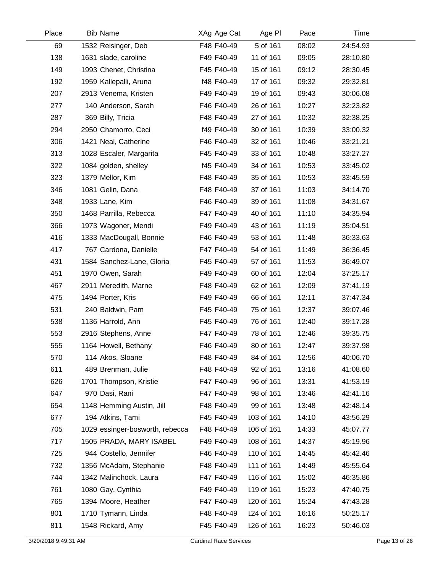| Place | <b>Bib Name</b>                 | XAg Age Cat | Age PI     | Pace  | Time     |  |
|-------|---------------------------------|-------------|------------|-------|----------|--|
| 69    | 1532 Reisinger, Deb             | F48 F40-49  | 5 of 161   | 08:02 | 24:54.93 |  |
| 138   | 1631 slade, caroline            | F49 F40-49  | 11 of 161  | 09:05 | 28:10.80 |  |
| 149   | 1993 Chenet, Christina          | F45 F40-49  | 15 of 161  | 09:12 | 28:30.45 |  |
| 192   | 1959 Kallepalli, Aruna          | f48 F40-49  | 17 of 161  | 09:32 | 29:32.81 |  |
| 207   | 2913 Venema, Kristen            | F49 F40-49  | 19 of 161  | 09:43 | 30:06.08 |  |
| 277   | 140 Anderson, Sarah             | F46 F40-49  | 26 of 161  | 10:27 | 32:23.82 |  |
| 287   | 369 Billy, Tricia               | F48 F40-49  | 27 of 161  | 10:32 | 32:38.25 |  |
| 294   | 2950 Chamorro, Ceci             | f49 F40-49  | 30 of 161  | 10:39 | 33:00.32 |  |
| 306   | 1421 Neal, Catherine            | F46 F40-49  | 32 of 161  | 10:46 | 33:21.21 |  |
| 313   | 1028 Escaler, Margarita         | F45 F40-49  | 33 of 161  | 10:48 | 33:27.27 |  |
| 322   | 1084 golden, shelley            | f45 F40-49  | 34 of 161  | 10:53 | 33:45.02 |  |
| 323   | 1379 Mellor, Kim                | F48 F40-49  | 35 of 161  | 10:53 | 33:45.59 |  |
| 346   | 1081 Gelin, Dana                | F48 F40-49  | 37 of 161  | 11:03 | 34:14.70 |  |
| 348   | 1933 Lane, Kim                  | F46 F40-49  | 39 of 161  | 11:08 | 34:31.67 |  |
| 350   | 1468 Parrilla, Rebecca          | F47 F40-49  | 40 of 161  | 11:10 | 34:35.94 |  |
| 366   | 1973 Wagoner, Mendi             | F49 F40-49  | 43 of 161  | 11:19 | 35:04.51 |  |
| 416   | 1333 MacDougall, Bonnie         | F46 F40-49  | 53 of 161  | 11:48 | 36:33.63 |  |
| 417   | 767 Cardona, Danielle           | F47 F40-49  | 54 of 161  | 11:49 | 36:36.45 |  |
| 431   | 1584 Sanchez-Lane, Gloria       | F45 F40-49  | 57 of 161  | 11:53 | 36:49.07 |  |
| 451   | 1970 Owen, Sarah                | F49 F40-49  | 60 of 161  | 12:04 | 37:25.17 |  |
| 467   | 2911 Meredith, Marne            | F48 F40-49  | 62 of 161  | 12:09 | 37:41.19 |  |
| 475   | 1494 Porter, Kris               | F49 F40-49  | 66 of 161  | 12:11 | 37:47.34 |  |
| 531   | 240 Baldwin, Pam                | F45 F40-49  | 75 of 161  | 12:37 | 39:07.46 |  |
| 538   | 1136 Harrold, Ann               | F45 F40-49  | 76 of 161  | 12:40 | 39:17.28 |  |
| 553   | 2916 Stephens, Anne             | F47 F40-49  | 78 of 161  | 12:46 | 39:35.75 |  |
| 555   | 1164 Howell, Bethany            | F46 F40-49  | 80 of 161  | 12:47 | 39:37.98 |  |
| 570   | 114 Akos, Sloane                | F48 F40-49  | 84 of 161  | 12:56 | 40:06.70 |  |
| 611   | 489 Brenman, Julie              | F48 F40-49  | 92 of 161  | 13:16 | 41:08.60 |  |
| 626   | 1701 Thompson, Kristie          | F47 F40-49  | 96 of 161  | 13:31 | 41:53.19 |  |
| 647   | 970 Dasi, Rani                  | F47 F40-49  | 98 of 161  | 13:46 | 42:41.16 |  |
| 654   | 1148 Hemming Austin, Jill       | F48 F40-49  | 99 of 161  | 13:48 | 42:48.14 |  |
| 677   | 194 Atkins, Tami                | F45 F40-49  | 103 of 161 | 14:10 | 43:56.29 |  |
| 705   | 1029 essinger-bosworth, rebecca | F48 F40-49  | 106 of 161 | 14:33 | 45:07.77 |  |
| 717   | 1505 PRADA, MARY ISABEL         | F49 F40-49  | 108 of 161 | 14:37 | 45:19.96 |  |
| 725   | 944 Costello, Jennifer          | F46 F40-49  | 110 of 161 | 14:45 | 45:42.46 |  |
| 732   | 1356 McAdam, Stephanie          | F48 F40-49  | 111 of 161 | 14:49 | 45:55.64 |  |
| 744   | 1342 Malinchock, Laura          | F47 F40-49  | 116 of 161 | 15:02 | 46:35.86 |  |
| 761   | 1080 Gay, Cynthia               | F49 F40-49  | 119 of 161 | 15:23 | 47:40.75 |  |
| 765   | 1394 Moore, Heather             | F47 F40-49  | 120 of 161 | 15:24 | 47:43.28 |  |
| 801   | 1710 Tymann, Linda              | F48 F40-49  | 124 of 161 | 16:16 | 50:25.17 |  |
| 811   | 1548 Rickard, Amy               | F45 F40-49  | 126 of 161 | 16:23 | 50:46.03 |  |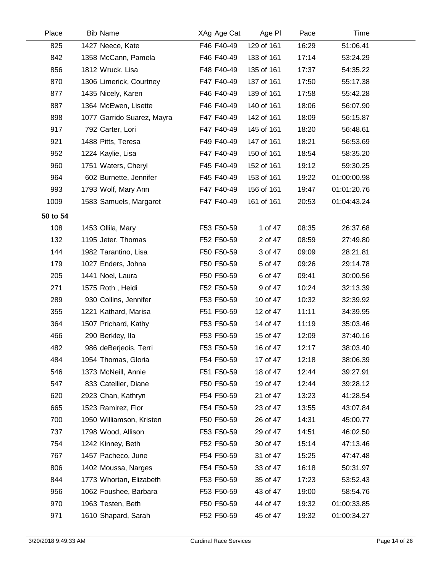| Place    | <b>Bib Name</b>            | XAg Age Cat | Age PI     | Pace  | Time        |  |
|----------|----------------------------|-------------|------------|-------|-------------|--|
| 825      | 1427 Neece, Kate           | F46 F40-49  | 129 of 161 | 16:29 | 51:06.41    |  |
| 842      | 1358 McCann, Pamela        | F46 F40-49  | 133 of 161 | 17:14 | 53:24.29    |  |
| 856      | 1812 Wruck, Lisa           | F48 F40-49  | 135 of 161 | 17:37 | 54:35.22    |  |
| 870      | 1306 Limerick, Courtney    | F47 F40-49  | 137 of 161 | 17:50 | 55:17.38    |  |
| 877      | 1435 Nicely, Karen         | F46 F40-49  | 139 of 161 | 17:58 | 55:42.28    |  |
| 887      | 1364 McEwen, Lisette       | F46 F40-49  | 140 of 161 | 18:06 | 56:07.90    |  |
| 898      | 1077 Garrido Suarez, Mayra | F47 F40-49  | 142 of 161 | 18:09 | 56:15.87    |  |
| 917      | 792 Carter, Lori           | F47 F40-49  | 145 of 161 | 18:20 | 56:48.61    |  |
| 921      | 1488 Pitts, Teresa         | F49 F40-49  | 147 of 161 | 18:21 | 56:53.69    |  |
| 952      | 1224 Kaylie, Lisa          | F47 F40-49  | 150 of 161 | 18:54 | 58:35.20    |  |
| 960      | 1751 Waters, Cheryl        | F45 F40-49  | 152 of 161 | 19:12 | 59:30.25    |  |
| 964      | 602 Burnette, Jennifer     | F45 F40-49  | 153 of 161 | 19:22 | 01:00:00.98 |  |
| 993      | 1793 Wolf, Mary Ann        | F47 F40-49  | 156 of 161 | 19:47 | 01:01:20.76 |  |
| 1009     | 1583 Samuels, Margaret     | F47 F40-49  | 161 of 161 | 20:53 | 01:04:43.24 |  |
| 50 to 54 |                            |             |            |       |             |  |
| 108      | 1453 Ollila, Mary          | F53 F50-59  | 1 of 47    | 08:35 | 26:37.68    |  |
| 132      | 1195 Jeter, Thomas         | F52 F50-59  | 2 of 47    | 08:59 | 27:49.80    |  |
| 144      | 1982 Tarantino, Lisa       | F50 F50-59  | 3 of 47    | 09:09 | 28:21.81    |  |
| 179      | 1027 Enders, Johna         | F50 F50-59  | 5 of 47    | 09:26 | 29:14.78    |  |
| 205      | 1441 Noel, Laura           | F50 F50-59  | 6 of 47    | 09:41 | 30:00.56    |  |
| 271      | 1575 Roth, Heidi           | F52 F50-59  | 9 of 47    | 10:24 | 32:13.39    |  |
| 289      | 930 Collins, Jennifer      | F53 F50-59  | 10 of 47   | 10:32 | 32:39.92    |  |
| 355      | 1221 Kathard, Marisa       | F51 F50-59  | 12 of 47   | 11:11 | 34:39.95    |  |
| 364      | 1507 Prichard, Kathy       | F53 F50-59  | 14 of 47   | 11:19 | 35:03.46    |  |
| 466      | 290 Berkley, Ila           | F53 F50-59  | 15 of 47   | 12:09 | 37:40.16    |  |
| 482      | 986 deBerjeois, Terri      | F53 F50-59  | 16 of 47   | 12:17 | 38:03.40    |  |
| 484      | 1954 Thomas, Gloria        | F54 F50-59  | 17 of 47   | 12:18 | 38:06.39    |  |
| 546      | 1373 McNeill, Annie        | F51 F50-59  | 18 of 47   | 12:44 | 39:27.91    |  |
| 547      | 833 Catellier, Diane       | F50 F50-59  | 19 of 47   | 12:44 | 39:28.12    |  |
| 620      | 2923 Chan, Kathryn         | F54 F50-59  | 21 of 47   | 13:23 | 41:28.54    |  |
| 665      | 1523 Ramirez, Flor         | F54 F50-59  | 23 of 47   | 13:55 | 43:07.84    |  |
| 700      | 1950 Williamson, Kristen   | F50 F50-59  | 26 of 47   | 14:31 | 45:00.77    |  |
| 737      | 1798 Wood, Allison         | F53 F50-59  | 29 of 47   | 14:51 | 46:02.50    |  |
| 754      | 1242 Kinney, Beth          | F52 F50-59  | 30 of 47   | 15:14 | 47:13.46    |  |
| 767      | 1457 Pacheco, June         | F54 F50-59  | 31 of 47   | 15:25 | 47:47.48    |  |
| 806      | 1402 Moussa, Narges        | F54 F50-59  | 33 of 47   | 16:18 | 50:31.97    |  |
| 844      | 1773 Whortan, Elizabeth    | F53 F50-59  | 35 of 47   | 17:23 | 53:52.43    |  |
| 956      | 1062 Foushee, Barbara      | F53 F50-59  | 43 of 47   | 19:00 | 58:54.76    |  |
| 970      | 1963 Testen, Beth          | F50 F50-59  | 44 of 47   | 19:32 | 01:00:33.85 |  |
| 971      | 1610 Shapard, Sarah        | F52 F50-59  | 45 of 47   | 19:32 | 01:00:34.27 |  |
|          |                            |             |            |       |             |  |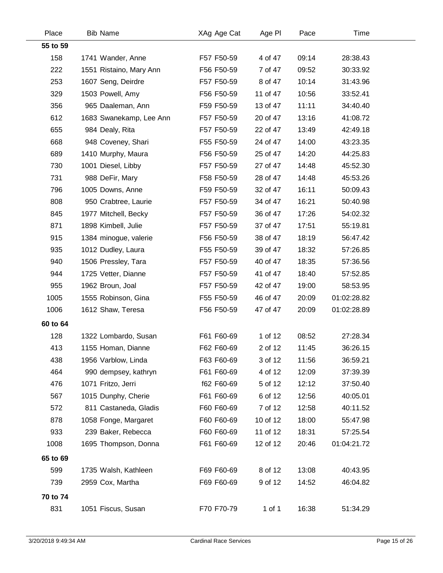| Place    | <b>Bib Name</b>         | XAg Age Cat | Age PI     | Pace  | <b>Time</b> |  |
|----------|-------------------------|-------------|------------|-------|-------------|--|
| 55 to 59 |                         |             |            |       |             |  |
| 158      | 1741 Wander, Anne       | F57 F50-59  | 4 of 47    | 09:14 | 28:38.43    |  |
| 222      | 1551 Ristaino, Mary Ann | F56 F50-59  | 7 of 47    | 09:52 | 30:33.92    |  |
| 253      | 1607 Seng, Deirdre      | F57 F50-59  | 8 of 47    | 10:14 | 31:43.96    |  |
| 329      | 1503 Powell, Amy        | F56 F50-59  | 11 of 47   | 10:56 | 33:52.41    |  |
| 356      | 965 Daaleman, Ann       | F59 F50-59  | 13 of 47   | 11:11 | 34:40.40    |  |
| 612      | 1683 Swanekamp, Lee Ann | F57 F50-59  | 20 of 47   | 13:16 | 41:08.72    |  |
| 655      | 984 Dealy, Rita         | F57 F50-59  | 22 of 47   | 13:49 | 42:49.18    |  |
| 668      | 948 Coveney, Shari      | F55 F50-59  | 24 of 47   | 14:00 | 43:23.35    |  |
| 689      | 1410 Murphy, Maura      | F56 F50-59  | 25 of 47   | 14:20 | 44:25.83    |  |
| 730      | 1001 Diesel, Libby      | F57 F50-59  | 27 of 47   | 14:48 | 45:52.30    |  |
| 731      | 988 DeFir, Mary         | F58 F50-59  | 28 of 47   | 14:48 | 45:53.26    |  |
| 796      | 1005 Downs, Anne        | F59 F50-59  | 32 of 47   | 16:11 | 50:09.43    |  |
| 808      | 950 Crabtree, Laurie    | F57 F50-59  | 34 of 47   | 16:21 | 50:40.98    |  |
| 845      | 1977 Mitchell, Becky    | F57 F50-59  | 36 of 47   | 17:26 | 54:02.32    |  |
| 871      | 1898 Kimbell, Julie     | F57 F50-59  | 37 of 47   | 17:51 | 55:19.81    |  |
| 915      | 1384 minogue, valerie   | F56 F50-59  | 38 of 47   | 18:19 | 56:47.42    |  |
| 935      | 1012 Dudley, Laura      | F55 F50-59  | 39 of 47   | 18:32 | 57:26.85    |  |
| 940      | 1506 Pressley, Tara     | F57 F50-59  | 40 of 47   | 18:35 | 57:36.56    |  |
| 944      | 1725 Vetter, Dianne     | F57 F50-59  | 41 of 47   | 18:40 | 57:52.85    |  |
| 955      | 1962 Broun, Joal        | F57 F50-59  | 42 of 47   | 19:00 | 58:53.95    |  |
| 1005     | 1555 Robinson, Gina     | F55 F50-59  | 46 of 47   | 20:09 | 01:02:28.82 |  |
| 1006     | 1612 Shaw, Teresa       | F56 F50-59  | 47 of 47   | 20:09 | 01:02:28.89 |  |
| 60 to 64 |                         |             |            |       |             |  |
| 128      | 1322 Lombardo, Susan    | F61 F60-69  | 1 of 12    | 08:52 | 27:28.34    |  |
| 413      | 1155 Homan, Dianne      | F62 F60-69  | 2 of 12    | 11:45 | 36:26.15    |  |
| 438      | 1956 Varblow, Linda     | F63 F60-69  | 3 of 12    | 11:56 | 36:59.21    |  |
| 464      | 990 dempsey, kathryn    | F61 F60-69  | 4 of 12    | 12:09 | 37:39.39    |  |
| 476      | 1071 Fritzo, Jerri      | f62 F60-69  | 5 of 12    | 12:12 | 37:50.40    |  |
| 567      | 1015 Dunphy, Cherie     | F61 F60-69  | 6 of 12    | 12:56 | 40:05.01    |  |
| 572      | 811 Castaneda, Gladis   | F60 F60-69  | 7 of 12    | 12:58 | 40:11.52    |  |
| 878      | 1058 Fonge, Margaret    | F60 F60-69  | 10 of 12   | 18:00 | 55:47.98    |  |
| 933      | 239 Baker, Rebecca      | F60 F60-69  | 11 of 12   | 18:31 | 57:25.54    |  |
| 1008     | 1695 Thompson, Donna    | F61 F60-69  | 12 of 12   | 20:46 | 01:04:21.72 |  |
| 65 to 69 |                         |             |            |       |             |  |
| 599      | 1735 Walsh, Kathleen    | F69 F60-69  | 8 of 12    | 13:08 | 40:43.95    |  |
| 739      | 2959 Cox, Martha        | F69 F60-69  | 9 of 12    | 14:52 | 46:04.82    |  |
| 70 to 74 |                         |             |            |       |             |  |
| 831      | 1051 Fiscus, Susan      | F70 F70-79  | $1$ of $1$ | 16:38 | 51:34.29    |  |
|          |                         |             |            |       |             |  |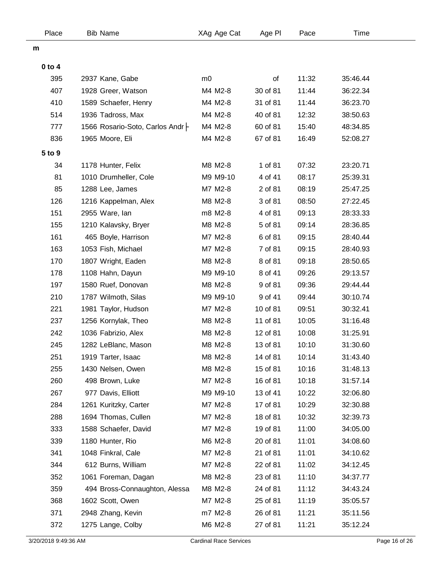| Place      | <b>Bib Name</b>                   | XAg Age Cat    | Age PI   | Pace  | Time     |  |
|------------|-----------------------------------|----------------|----------|-------|----------|--|
| m          |                                   |                |          |       |          |  |
| $0$ to $4$ |                                   |                |          |       |          |  |
| 395        | 2937 Kane, Gabe                   | m <sub>0</sub> | of       | 11:32 | 35:46.44 |  |
| 407        | 1928 Greer, Watson                | M4 M2-8        | 30 of 81 | 11:44 | 36:22.34 |  |
| 410        | 1589 Schaefer, Henry              | M4 M2-8        | 31 of 81 | 11:44 | 36:23.70 |  |
| 514        | 1936 Tadross, Max                 | M4 M2-8        | 40 of 81 | 12:32 | 38:50.63 |  |
| 777        | 1566 Rosario-Soto, Carlos Andr  - | M4 M2-8        | 60 of 81 | 15:40 | 48:34.85 |  |
| 836        | 1965 Moore, Eli                   | M4 M2-8        | 67 of 81 | 16:49 | 52:08.27 |  |
| 5 to 9     |                                   |                |          |       |          |  |
| 34         | 1178 Hunter, Felix                | M8 M2-8        | 1 of 81  | 07:32 | 23:20.71 |  |
| 81         | 1010 Drumheller, Cole             | M9 M9-10       | 4 of 41  | 08:17 | 25:39.31 |  |
| 85         | 1288 Lee, James                   | M7 M2-8        | 2 of 81  | 08:19 | 25:47.25 |  |
| 126        | 1216 Kappelman, Alex              | M8 M2-8        | 3 of 81  | 08:50 | 27:22.45 |  |
| 151        | 2955 Ware, lan                    | m8 M2-8        | 4 of 81  | 09:13 | 28:33.33 |  |
| 155        | 1210 Kalavsky, Bryer              | M8 M2-8        | 5 of 81  | 09:14 | 28:36.85 |  |
| 161        | 465 Boyle, Harrison               | M7 M2-8        | 6 of 81  | 09:15 | 28:40.44 |  |
| 163        | 1053 Fish, Michael                | M7 M2-8        | 7 of 81  | 09:15 | 28:40.93 |  |
| 170        | 1807 Wright, Eaden                | M8 M2-8        | 8 of 81  | 09:18 | 28:50.65 |  |
| 178        | 1108 Hahn, Dayun                  | M9 M9-10       | 8 of 41  | 09:26 | 29:13.57 |  |
| 197        | 1580 Ruef, Donovan                | M8 M2-8        | 9 of 81  | 09:36 | 29:44.44 |  |
| 210        | 1787 Wilmoth, Silas               | M9 M9-10       | 9 of 41  | 09:44 | 30:10.74 |  |
| 221        | 1981 Taylor, Hudson               | M7 M2-8        | 10 of 81 | 09:51 | 30:32.41 |  |
| 237        | 1256 Kornylak, Theo               | M8 M2-8        | 11 of 81 | 10:05 | 31:16.48 |  |
| 242        | 1036 Fabrizio, Alex               | M8 M2-8        | 12 of 81 | 10:08 | 31:25.91 |  |
| 245        | 1282 LeBlanc, Mason               | M8 M2-8        | 13 of 81 | 10:10 | 31:30.60 |  |
| 251        | 1919 Tarter, Isaac                | M8 M2-8        | 14 of 81 | 10:14 | 31:43.40 |  |
| 255        | 1430 Nelsen, Owen                 | M8 M2-8        | 15 of 81 | 10:16 | 31:48.13 |  |
| 260        | 498 Brown, Luke                   | M7 M2-8        | 16 of 81 | 10:18 | 31:57.14 |  |
| 267        | 977 Davis, Elliott                | M9 M9-10       | 13 of 41 | 10:22 | 32:06.80 |  |
| 284        | 1261 Kuritzky, Carter             | M7 M2-8        | 17 of 81 | 10:29 | 32:30.88 |  |
| 288        | 1694 Thomas, Cullen               | M7 M2-8        | 18 of 81 | 10:32 | 32:39.73 |  |
| 333        | 1588 Schaefer, David              | M7 M2-8        | 19 of 81 | 11:00 | 34:05.00 |  |
| 339        | 1180 Hunter, Rio                  | M6 M2-8        | 20 of 81 | 11:01 | 34:08.60 |  |
| 341        | 1048 Finkral, Cale                | M7 M2-8        | 21 of 81 | 11:01 | 34:10.62 |  |
| 344        | 612 Burns, William                | M7 M2-8        | 22 of 81 | 11:02 | 34:12.45 |  |
| 352        | 1061 Foreman, Dagan               | M8 M2-8        | 23 of 81 | 11:10 | 34:37.77 |  |
| 359        | 494 Bross-Connaughton, Alessa     | M8 M2-8        | 24 of 81 | 11:12 | 34:43.24 |  |
| 368        | 1602 Scott, Owen                  | M7 M2-8        | 25 of 81 | 11:19 | 35:05.57 |  |
| 371        | 2948 Zhang, Kevin                 | m7 M2-8        | 26 of 81 | 11:21 | 35:11.56 |  |
| 372        | 1275 Lange, Colby                 | M6 M2-8        | 27 of 81 | 11:21 | 35:12.24 |  |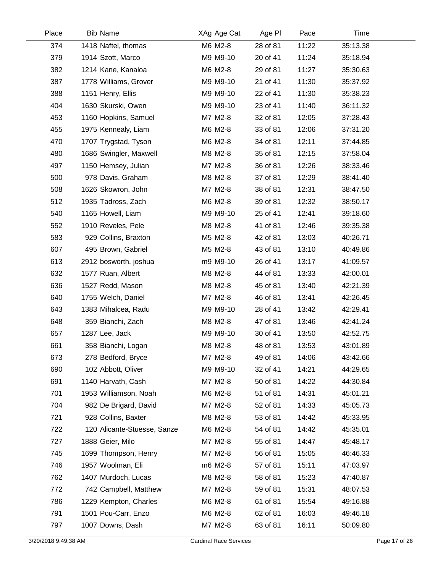| Place | <b>Bib Name</b>             | XAg Age Cat | Age PI   | Pace  | Time     |  |
|-------|-----------------------------|-------------|----------|-------|----------|--|
| 374   | 1418 Naftel, thomas         | M6 M2-8     | 28 of 81 | 11:22 | 35:13.38 |  |
| 379   | 1914 Szott, Marco           | M9 M9-10    | 20 of 41 | 11:24 | 35:18.94 |  |
| 382   | 1214 Kane, Kanaloa          | M6 M2-8     | 29 of 81 | 11:27 | 35:30.63 |  |
| 387   | 1778 Williams, Grover       | M9 M9-10    | 21 of 41 | 11:30 | 35:37.92 |  |
| 388   | 1151 Henry, Ellis           | M9 M9-10    | 22 of 41 | 11:30 | 35:38.23 |  |
| 404   | 1630 Skurski, Owen          | M9 M9-10    | 23 of 41 | 11:40 | 36:11.32 |  |
| 453   | 1160 Hopkins, Samuel        | M7 M2-8     | 32 of 81 | 12:05 | 37:28.43 |  |
| 455   | 1975 Kennealy, Liam         | M6 M2-8     | 33 of 81 | 12:06 | 37:31.20 |  |
| 470   | 1707 Trygstad, Tyson        | M6 M2-8     | 34 of 81 | 12:11 | 37:44.85 |  |
| 480   | 1686 Swingler, Maxwell      | M8 M2-8     | 35 of 81 | 12:15 | 37:58.04 |  |
| 497   | 1150 Hemsey, Julian         | M7 M2-8     | 36 of 81 | 12:26 | 38:33.46 |  |
| 500   | 978 Davis, Graham           | M8 M2-8     | 37 of 81 | 12:29 | 38:41.40 |  |
| 508   | 1626 Skowron, John          | M7 M2-8     | 38 of 81 | 12:31 | 38:47.50 |  |
| 512   | 1935 Tadross, Zach          | M6 M2-8     | 39 of 81 | 12:32 | 38:50.17 |  |
| 540   | 1165 Howell, Liam           | M9 M9-10    | 25 of 41 | 12:41 | 39:18.60 |  |
| 552   | 1910 Reveles, Pele          | M8 M2-8     | 41 of 81 | 12:46 | 39:35.38 |  |
| 583   | 929 Collins, Braxton        | M5 M2-8     | 42 of 81 | 13:03 | 40:26.71 |  |
| 607   | 495 Brown, Gabriel          | M5 M2-8     | 43 of 81 | 13:10 | 40:49.86 |  |
| 613   | 2912 bosworth, joshua       | m9 M9-10    | 26 of 41 | 13:17 | 41:09.57 |  |
| 632   | 1577 Ruan, Albert           | M8 M2-8     | 44 of 81 | 13:33 | 42:00.01 |  |
| 636   | 1527 Redd, Mason            | M8 M2-8     | 45 of 81 | 13:40 | 42:21.39 |  |
| 640   | 1755 Welch, Daniel          | M7 M2-8     | 46 of 81 | 13:41 | 42:26.45 |  |
| 643   | 1383 Mihalcea, Radu         | M9 M9-10    | 28 of 41 | 13:42 | 42:29.41 |  |
| 648   | 359 Bianchi, Zach           | M8 M2-8     | 47 of 81 | 13:46 | 42:41.24 |  |
| 657   | 1287 Lee, Jack              | M9 M9-10    | 30 of 41 | 13:50 | 42:52.75 |  |
| 661   | 358 Bianchi, Logan          | M8 M2-8     | 48 of 81 | 13:53 | 43:01.89 |  |
| 673   | 278 Bedford, Bryce          | M7 M2-8     | 49 of 81 | 14:06 | 43:42.66 |  |
| 690   | 102 Abbott, Oliver          | M9 M9-10    | 32 of 41 | 14:21 | 44:29.65 |  |
| 691   | 1140 Harvath, Cash          | M7 M2-8     | 50 of 81 | 14:22 | 44:30.84 |  |
| 701   | 1953 Williamson, Noah       | M6 M2-8     | 51 of 81 | 14:31 | 45:01.21 |  |
| 704   | 982 De Brigard, David       | M7 M2-8     | 52 of 81 | 14:33 | 45:05.73 |  |
| 721   | 928 Collins, Baxter         | M8 M2-8     | 53 of 81 | 14:42 | 45:33.95 |  |
| 722   | 120 Alicante-Stuesse, Sanze | M6 M2-8     | 54 of 81 | 14:42 | 45:35.01 |  |
| 727   | 1888 Geier, Milo            | M7 M2-8     | 55 of 81 | 14:47 | 45:48.17 |  |
| 745   | 1699 Thompson, Henry        | M7 M2-8     | 56 of 81 | 15:05 | 46:46.33 |  |
| 746   | 1957 Woolman, Eli           | m6 M2-8     | 57 of 81 | 15:11 | 47:03.97 |  |
| 762   | 1407 Murdoch, Lucas         | M8 M2-8     | 58 of 81 | 15:23 | 47:40.87 |  |
| 772   | 742 Campbell, Matthew       | M7 M2-8     | 59 of 81 | 15:31 | 48:07.53 |  |
| 786   | 1229 Kempton, Charles       | M6 M2-8     | 61 of 81 | 15:54 | 49:16.88 |  |
| 791   | 1501 Pou-Carr, Enzo         | M6 M2-8     | 62 of 81 | 16:03 | 49:46.18 |  |
| 797   | 1007 Downs, Dash            | M7 M2-8     | 63 of 81 | 16:11 | 50:09.80 |  |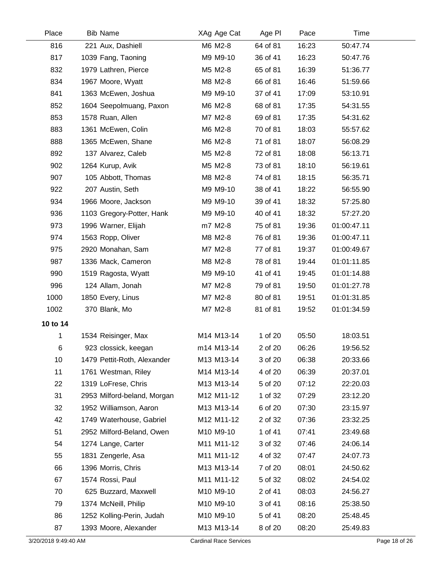| Place    | <b>Bib Name</b>             | XAg Age Cat | Age PI   | Pace  | Time        |  |
|----------|-----------------------------|-------------|----------|-------|-------------|--|
| 816      | 221 Aux, Dashiell           | M6 M2-8     | 64 of 81 | 16:23 | 50:47.74    |  |
| 817      | 1039 Fang, Taoning          | M9 M9-10    | 36 of 41 | 16:23 | 50:47.76    |  |
| 832      | 1979 Lathren, Pierce        | M5 M2-8     | 65 of 81 | 16:39 | 51:36.77    |  |
| 834      | 1967 Moore, Wyatt           | M8 M2-8     | 66 of 81 | 16:46 | 51:59.66    |  |
| 841      | 1363 McEwen, Joshua         | M9 M9-10    | 37 of 41 | 17:09 | 53:10.91    |  |
| 852      | 1604 Seepolmuang, Paxon     | M6 M2-8     | 68 of 81 | 17:35 | 54:31.55    |  |
| 853      | 1578 Ruan, Allen            | M7 M2-8     | 69 of 81 | 17:35 | 54:31.62    |  |
| 883      | 1361 McEwen, Colin          | M6 M2-8     | 70 of 81 | 18:03 | 55:57.62    |  |
| 888      | 1365 McEwen, Shane          | M6 M2-8     | 71 of 81 | 18:07 | 56:08.29    |  |
| 892      | 137 Alvarez, Caleb          | M5 M2-8     | 72 of 81 | 18:08 | 56:13.71    |  |
| 902      | 1264 Kurup, Avik            | M5 M2-8     | 73 of 81 | 18:10 | 56:19.61    |  |
| 907      | 105 Abbott, Thomas          | M8 M2-8     | 74 of 81 | 18:15 | 56:35.71    |  |
| 922      | 207 Austin, Seth            | M9 M9-10    | 38 of 41 | 18:22 | 56:55.90    |  |
| 934      | 1966 Moore, Jackson         | M9 M9-10    | 39 of 41 | 18:32 | 57:25.80    |  |
| 936      | 1103 Gregory-Potter, Hank   | M9 M9-10    | 40 of 41 | 18:32 | 57:27.20    |  |
| 973      | 1996 Warner, Elijah         | m7 M2-8     | 75 of 81 | 19:36 | 01:00:47.11 |  |
| 974      | 1563 Ropp, Oliver           | M8 M2-8     | 76 of 81 | 19:36 | 01:00:47.11 |  |
| 975      | 2920 Monahan, Sam           | M7 M2-8     | 77 of 81 | 19:37 | 01:00:49.67 |  |
| 987      | 1336 Mack, Cameron          | M8 M2-8     | 78 of 81 | 19:44 | 01:01:11.85 |  |
| 990      | 1519 Ragosta, Wyatt         | M9 M9-10    | 41 of 41 | 19:45 | 01:01:14.88 |  |
| 996      | 124 Allam, Jonah            | M7 M2-8     | 79 of 81 | 19:50 | 01:01:27.78 |  |
| 1000     | 1850 Every, Linus           | M7 M2-8     | 80 of 81 | 19:51 | 01:01:31.85 |  |
| 1002     | 370 Blank, Mo               | M7 M2-8     | 81 of 81 | 19:52 | 01:01:34.59 |  |
| 10 to 14 |                             |             |          |       |             |  |
| 1        | 1534 Reisinger, Max         | M14 M13-14  | 1 of 20  | 05:50 | 18:03.51    |  |
| 6        | 923 clossick, keegan        | m14 M13-14  | 2 of 20  | 06:26 | 19:56.52    |  |
| 10       | 1479 Pettit-Roth, Alexander | M13 M13-14  | 3 of 20  | 06:38 | 20:33.66    |  |
| 11       | 1761 Westman, Riley         | M14 M13-14  | 4 of 20  | 06:39 | 20:37.01    |  |
| 22       | 1319 LoFrese, Chris         | M13 M13-14  | 5 of 20  | 07:12 | 22:20.03    |  |
| 31       | 2953 Milford-beland, Morgan | M12 M11-12  | 1 of 32  | 07:29 | 23:12.20    |  |
| 32       | 1952 Williamson, Aaron      | M13 M13-14  | 6 of 20  | 07:30 | 23:15.97    |  |
| 42       | 1749 Waterhouse, Gabriel    | M12 M11-12  | 2 of 32  | 07:36 | 23:32.25    |  |
| 51       | 2952 Milford-Beland, Owen   | M10 M9-10   | 1 of 41  | 07:41 | 23:49.68    |  |
| 54       | 1274 Lange, Carter          | M11 M11-12  | 3 of 32  | 07:46 | 24:06.14    |  |
| 55       | 1831 Zengerle, Asa          | M11 M11-12  | 4 of 32  | 07:47 | 24:07.73    |  |
| 66       | 1396 Morris, Chris          | M13 M13-14  | 7 of 20  | 08:01 | 24:50.62    |  |
| 67       | 1574 Rossi, Paul            | M11 M11-12  | 5 of 32  | 08:02 | 24:54.02    |  |
| 70       | 625 Buzzard, Maxwell        | M10 M9-10   | 2 of 41  | 08:03 | 24:56.27    |  |
| 79       | 1374 McNeill, Philip        | M10 M9-10   | 3 of 41  | 08:16 | 25:38.50    |  |
| 86       | 1252 Kolling-Perin, Judah   | M10 M9-10   | 5 of 41  | 08:20 | 25:48.45    |  |
| 87       | 1393 Moore, Alexander       | M13 M13-14  | 8 of 20  | 08:20 | 25:49.83    |  |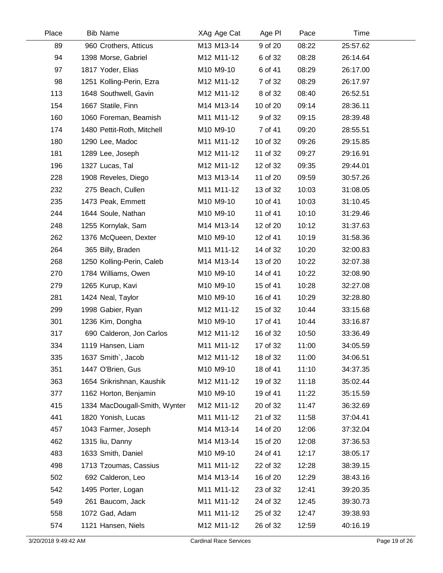| Place | <b>Bib Name</b>               | XAg Age Cat | Age PI   | Pace  | Time     |  |
|-------|-------------------------------|-------------|----------|-------|----------|--|
| 89    | 960 Crothers, Atticus         | M13 M13-14  | 9 of 20  | 08:22 | 25:57.62 |  |
| 94    | 1398 Morse, Gabriel           | M12 M11-12  | 6 of 32  | 08:28 | 26:14.64 |  |
| 97    | 1817 Yoder, Elias             | M10 M9-10   | 6 of 41  | 08:29 | 26:17.00 |  |
| 98    | 1251 Kolling-Perin, Ezra      | M12 M11-12  | 7 of 32  | 08:29 | 26:17.97 |  |
| 113   | 1648 Southwell, Gavin         | M12 M11-12  | 8 of 32  | 08:40 | 26:52.51 |  |
| 154   | 1667 Statile, Finn            | M14 M13-14  | 10 of 20 | 09:14 | 28:36.11 |  |
| 160   | 1060 Foreman, Beamish         | M11 M11-12  | 9 of 32  | 09:15 | 28:39.48 |  |
| 174   | 1480 Pettit-Roth, Mitchell    | M10 M9-10   | 7 of 41  | 09:20 | 28:55.51 |  |
| 180   | 1290 Lee, Madoc               | M11 M11-12  | 10 of 32 | 09:26 | 29:15.85 |  |
| 181   | 1289 Lee, Joseph              | M12 M11-12  | 11 of 32 | 09:27 | 29:16.91 |  |
| 196   | 1327 Lucas, Tal               | M12 M11-12  | 12 of 32 | 09:35 | 29:44.01 |  |
| 228   | 1908 Reveles, Diego           | M13 M13-14  | 11 of 20 | 09:59 | 30:57.26 |  |
| 232   | 275 Beach, Cullen             | M11 M11-12  | 13 of 32 | 10:03 | 31:08.05 |  |
| 235   | 1473 Peak, Emmett             | M10 M9-10   | 10 of 41 | 10:03 | 31:10.45 |  |
| 244   | 1644 Soule, Nathan            | M10 M9-10   | 11 of 41 | 10:10 | 31:29.46 |  |
| 248   | 1255 Kornylak, Sam            | M14 M13-14  | 12 of 20 | 10:12 | 31:37.63 |  |
| 262   | 1376 McQueen, Dexter          | M10 M9-10   | 12 of 41 | 10:19 | 31:58.36 |  |
| 264   | 365 Billy, Braden             | M11 M11-12  | 14 of 32 | 10:20 | 32:00.83 |  |
| 268   | 1250 Kolling-Perin, Caleb     | M14 M13-14  | 13 of 20 | 10:22 | 32:07.38 |  |
| 270   | 1784 Williams, Owen           | M10 M9-10   | 14 of 41 | 10:22 | 32:08.90 |  |
| 279   | 1265 Kurup, Kavi              | M10 M9-10   | 15 of 41 | 10:28 | 32:27.08 |  |
| 281   | 1424 Neal, Taylor             | M10 M9-10   | 16 of 41 | 10:29 | 32:28.80 |  |
| 299   | 1998 Gabier, Ryan             | M12 M11-12  | 15 of 32 | 10:44 | 33:15.68 |  |
| 301   | 1236 Kim, Dongha              | M10 M9-10   | 17 of 41 | 10:44 | 33:16.87 |  |
| 317   | 690 Calderon, Jon Carlos      | M12 M11-12  | 16 of 32 | 10:50 | 33:36.49 |  |
| 334   | 1119 Hansen, Liam             | M11 M11-12  | 17 of 32 | 11:00 | 34:05.59 |  |
| 335   | 1637 Smith`, Jacob            | M12 M11-12  | 18 of 32 | 11:00 | 34:06.51 |  |
| 351   | 1447 O'Brien, Gus             | M10 M9-10   | 18 of 41 | 11:10 | 34:37.35 |  |
| 363   | 1654 Srikrishnan, Kaushik     | M12 M11-12  | 19 of 32 | 11:18 | 35:02.44 |  |
| 377   | 1162 Horton, Benjamin         | M10 M9-10   | 19 of 41 | 11:22 | 35:15.59 |  |
| 415   | 1334 MacDougall-Smith, Wynter | M12 M11-12  | 20 of 32 | 11:47 | 36:32.69 |  |
| 441   | 1820 Yonish, Lucas            | M11 M11-12  | 21 of 32 | 11:58 | 37:04.41 |  |
| 457   | 1043 Farmer, Joseph           | M14 M13-14  | 14 of 20 | 12:06 | 37:32.04 |  |
| 462   | 1315 liu, Danny               | M14 M13-14  | 15 of 20 | 12:08 | 37:36.53 |  |
| 483   | 1633 Smith, Daniel            | M10 M9-10   | 24 of 41 | 12:17 | 38:05.17 |  |
| 498   | 1713 Tzoumas, Cassius         | M11 M11-12  | 22 of 32 | 12:28 | 38:39.15 |  |
| 502   | 692 Calderon, Leo             | M14 M13-14  | 16 of 20 | 12:29 | 38:43.16 |  |
| 542   | 1495 Porter, Logan            | M11 M11-12  | 23 of 32 | 12:41 | 39:20.35 |  |
| 549   | 261 Baucom, Jack              | M11 M11-12  | 24 of 32 | 12:45 | 39:30.73 |  |
| 558   | 1072 Gad, Adam                | M11 M11-12  | 25 of 32 | 12:47 | 39:38.93 |  |
| 574   | 1121 Hansen, Niels            | M12 M11-12  | 26 of 32 | 12:59 | 40:16.19 |  |
|       |                               |             |          |       |          |  |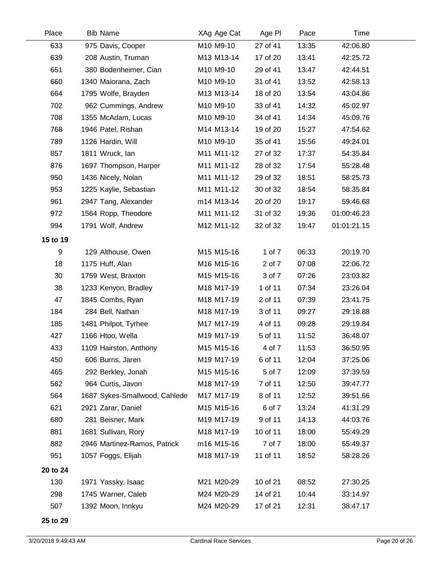| Place    | <b>Bib Name</b>               | XAg Age Cat | Age PI   | Pace  | Time        |  |
|----------|-------------------------------|-------------|----------|-------|-------------|--|
| 633      | 975 Davis, Cooper             | M10 M9-10   | 27 of 41 | 13:35 | 42:06.80    |  |
| 639      | 208 Austin, Truman            | M13 M13-14  | 17 of 20 | 13:41 | 42:25.72    |  |
| 651      | 380 Bodenheimer, Cian         | M10 M9-10   | 29 of 41 | 13:47 | 42:44.51    |  |
| 660      | 1340 Maiorana, Zach           | M10 M9-10   | 31 of 41 | 13:52 | 42:58.13    |  |
| 664      | 1795 Wolfe, Brayden           | M13 M13-14  | 18 of 20 | 13:54 | 43:04.86    |  |
| 702      | 962 Cummings, Andrew          | M10 M9-10   | 33 of 41 | 14:32 | 45:02.97    |  |
| 708      | 1355 McAdam, Lucas            | M10 M9-10   | 34 of 41 | 14:34 | 45:09.76    |  |
| 768      | 1946 Patel, Rishan            | M14 M13-14  | 19 of 20 | 15:27 | 47:54.62    |  |
| 789      | 1126 Hardin, Will             | M10 M9-10   | 35 of 41 | 15:56 | 49:24.01    |  |
| 857      | 1811 Wruck, lan               | M11 M11-12  | 27 of 32 | 17:37 | 54:35.84    |  |
| 876      | 1697 Thompson, Harper         | M11 M11-12  | 28 of 32 | 17:54 | 55:28.48    |  |
| 950      | 1436 Nicely, Nolan            | M11 M11-12  | 29 of 32 | 18:51 | 58:25.73    |  |
| 953      | 1225 Kaylie, Sebastian        | M11 M11-12  | 30 of 32 | 18:54 | 58:35.84    |  |
| 961      | 2947 Tang, Alexander          | m14 M13-14  | 20 of 20 | 19:17 | 59:46.68    |  |
| 972      | 1564 Ropp, Theodore           | M11 M11-12  | 31 of 32 | 19:36 | 01:00:46.23 |  |
| 994      | 1791 Wolf, Andrew             | M12 M11-12  | 32 of 32 | 19:47 | 01:01:21.15 |  |
| 15 to 19 |                               |             |          |       |             |  |
| 9        | 129 Althouse, Owen            | M15 M15-16  | 1 of 7   | 06:33 | 20:19.70    |  |
| 18       | 1175 Huff, Alan               | M16 M15-16  | 2 of 7   | 07:08 | 22:06.72    |  |
| 30       | 1759 West, Braxton            | M15 M15-16  | 3 of 7   | 07:26 | 23:03.82    |  |
| 38       | 1233 Kenyon, Bradley          | M18 M17-19  | 1 of 11  | 07:34 | 23:26.04    |  |
| 47       | 1845 Combs, Ryan              | M18 M17-19  | 2 of 11  | 07:39 | 23:41.75    |  |
| 184      | 284 Bell, Nathan              | M18 M17-19  | 3 of 11  | 09:27 | 29:18.88    |  |
| 185      | 1481 Philpot, Tyrhee          | M17 M17-19  | 4 of 11  | 09:28 | 29:19.84    |  |
| 427      | 1166 Htoo, Wella              | M19 M17-19  | 5 of 11  | 11:52 | 36:48.07    |  |
| 433      | 1109 Hairston, Anthony        | M15 M15-16  | 4 of 7   | 11:53 | 36:50.95    |  |
| 450      | 606 Burns, Jaren              | M19 M17-19  | 6 of 11  | 12:04 | 37:25.06    |  |
| 465      | 292 Berkley, Jonah            | M15 M15-16  | 5 of 7   | 12:09 | 37:39.59    |  |
| 562      | 964 Curtis, Javon             | M18 M17-19  | 7 of 11  | 12:50 | 39:47.77    |  |
| 564      | 1687 Sykes-Smallwood, Cahlede | M17 M17-19  | 8 of 11  | 12:52 | 39:51.66    |  |
| 621      | 2921 Zarar, Daniel            | M15 M15-16  | 6 of 7   | 13:24 | 41:31.29    |  |
| 680      | 281 Beisner, Mark             | M19 M17-19  | 9 of 11  | 14:13 | 44:03.76    |  |
| 881      | 1681 Sullivan, Rory           | M18 M17-19  | 10 of 11 | 18:00 | 55:49.29    |  |
| 882      | 2946 Martinez-Ramos, Patrick  | m16 M15-16  | 7 of 7   | 18:00 | 55:49.37    |  |
| 951      | 1057 Foggs, Elijah            | M18 M17-19  | 11 of 11 | 18:52 | 58:28.26    |  |
| 20 to 24 |                               |             |          |       |             |  |
| 130      | 1971 Yassky, Isaac            | M21 M20-29  | 10 of 21 | 08:52 | 27:30.25    |  |
| 298      | 1745 Warner, Caleb            | M24 M20-29  | 14 of 21 | 10:44 | 33:14.97    |  |
| 507      | 1392 Moon, Innkyu             | M24 M20-29  | 17 of 21 | 12:31 | 38:47.17    |  |
|          |                               |             |          |       |             |  |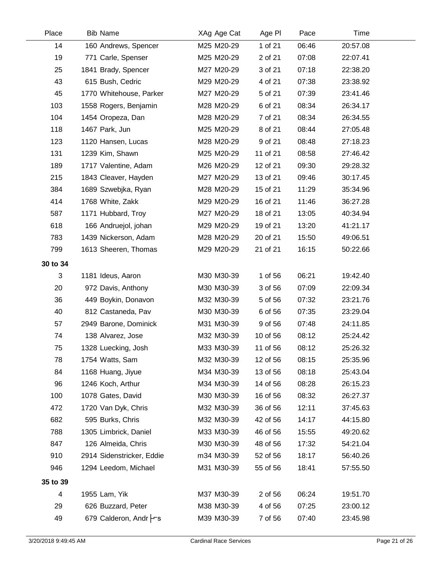| Place    | <b>Bib Name</b>           | XAg Age Cat | Age PI   | Pace  | Time     |  |
|----------|---------------------------|-------------|----------|-------|----------|--|
| 14       | 160 Andrews, Spencer      | M25 M20-29  | 1 of 21  | 06:46 | 20:57.08 |  |
| 19       | 771 Carle, Spenser        | M25 M20-29  | 2 of 21  | 07:08 | 22:07.41 |  |
| 25       | 1841 Brady, Spencer       | M27 M20-29  | 3 of 21  | 07:18 | 22:38.20 |  |
| 43       | 615 Bush, Cedric          | M29 M20-29  | 4 of 21  | 07:38 | 23:38.92 |  |
| 45       | 1770 Whitehouse, Parker   | M27 M20-29  | 5 of 21  | 07:39 | 23:41.46 |  |
| 103      | 1558 Rogers, Benjamin     | M28 M20-29  | 6 of 21  | 08:34 | 26:34.17 |  |
| 104      | 1454 Oropeza, Dan         | M28 M20-29  | 7 of 21  | 08:34 | 26:34.55 |  |
| 118      | 1467 Park, Jun            | M25 M20-29  | 8 of 21  | 08:44 | 27:05.48 |  |
| 123      | 1120 Hansen, Lucas        | M28 M20-29  | 9 of 21  | 08:48 | 27:18.23 |  |
| 131      | 1239 Kim, Shawn           | M25 M20-29  | 11 of 21 | 08:58 | 27:46.42 |  |
| 189      | 1717 Valentine, Adam      | M26 M20-29  | 12 of 21 | 09:30 | 29:28.32 |  |
| 215      | 1843 Cleaver, Hayden      | M27 M20-29  | 13 of 21 | 09:46 | 30:17.45 |  |
| 384      | 1689 Szwebjka, Ryan       | M28 M20-29  | 15 of 21 | 11:29 | 35:34.96 |  |
| 414      | 1768 White, Zakk          | M29 M20-29  | 16 of 21 | 11:46 | 36:27.28 |  |
| 587      | 1171 Hubbard, Troy        | M27 M20-29  | 18 of 21 | 13:05 | 40:34.94 |  |
| 618      | 166 Andruejol, johan      | M29 M20-29  | 19 of 21 | 13:20 | 41:21.17 |  |
| 783      | 1439 Nickerson, Adam      | M28 M20-29  | 20 of 21 | 15:50 | 49:06.51 |  |
| 799      | 1613 Sheeren, Thomas      | M29 M20-29  | 21 of 21 | 16:15 | 50:22.66 |  |
| 30 to 34 |                           |             |          |       |          |  |
| 3        | 1181 Ideus, Aaron         | M30 M30-39  | 1 of 56  | 06:21 | 19:42.40 |  |
| 20       | 972 Davis, Anthony        | M30 M30-39  | 3 of 56  | 07:09 | 22:09.34 |  |
| 36       | 449 Boykin, Donavon       | M32 M30-39  | 5 of 56  | 07:32 | 23:21.76 |  |
| 40       | 812 Castaneda, Pav        | M30 M30-39  | 6 of 56  | 07:35 | 23:29.04 |  |
| 57       | 2949 Barone, Dominick     | M31 M30-39  | 9 of 56  | 07:48 | 24:11.85 |  |
| 74       | 138 Alvarez, Jose         | M32 M30-39  | 10 of 56 | 08:12 | 25:24.42 |  |
| 75       | 1328 Luecking, Josh       | M33 M30-39  | 11 of 56 | 08:12 | 25:26.32 |  |
| 78       | 1754 Watts, Sam           | M32 M30-39  | 12 of 56 | 08:15 | 25:35.96 |  |
| 84       | 1168 Huang, Jiyue         | M34 M30-39  | 13 of 56 | 08:18 | 25:43.04 |  |
| 96       | 1246 Koch, Arthur         | M34 M30-39  | 14 of 56 | 08:28 | 26:15.23 |  |
| 100      | 1078 Gates, David         | M30 M30-39  | 16 of 56 | 08:32 | 26:27.37 |  |
| 472      | 1720 Van Dyk, Chris       | M32 M30-39  | 36 of 56 | 12:11 | 37:45.63 |  |
| 682      | 595 Burks, Chris          | M32 M30-39  | 42 of 56 | 14:17 | 44:15.80 |  |
| 788      | 1305 Limbrick, Daniel     | M33 M30-39  | 46 of 56 | 15:55 | 49:20.62 |  |
| 847      | 126 Almeida, Chris        | M30 M30-39  | 48 of 56 | 17:32 | 54:21.04 |  |
| 910      | 2914 Sidenstricker, Eddie | m34 M30-39  | 52 of 56 | 18:17 | 56:40.26 |  |
| 946      | 1294 Leedom, Michael      | M31 M30-39  | 55 of 56 | 18:41 | 57:55.50 |  |
| 35 to 39 |                           |             |          |       |          |  |
| 4        | 1955 Lam, Yik             | M37 M30-39  | 2 of 56  | 06:24 | 19:51.70 |  |
| 29       | 626 Buzzard, Peter        | M38 M30-39  | 4 of 56  | 07:25 | 23:00.12 |  |
| 49       | 679 Calderon, Andr Frs    | M39 M30-39  | 7 of 56  | 07:40 | 23:45.98 |  |
|          |                           |             |          |       |          |  |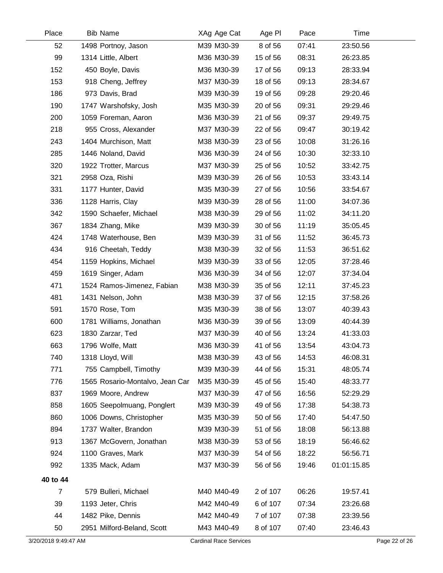| Place                | <b>Bib Name</b>                 | XAg Age Cat                   | Age PI   | Pace  | Time        |               |
|----------------------|---------------------------------|-------------------------------|----------|-------|-------------|---------------|
| 52                   | 1498 Portnoy, Jason             | M39 M30-39                    | 8 of 56  | 07:41 | 23:50.56    |               |
| 99                   | 1314 Little, Albert             | M36 M30-39                    | 15 of 56 | 08:31 | 26:23.85    |               |
| 152                  | 450 Boyle, Davis                | M36 M30-39                    | 17 of 56 | 09:13 | 28:33.94    |               |
| 153                  | 918 Cheng, Jeffrey              | M37 M30-39                    | 18 of 56 | 09:13 | 28:34.67    |               |
| 186                  | 973 Davis, Brad                 | M39 M30-39                    | 19 of 56 | 09:28 | 29:20.46    |               |
| 190                  | 1747 Warshofsky, Josh           | M35 M30-39                    | 20 of 56 | 09:31 | 29:29.46    |               |
| 200                  | 1059 Foreman, Aaron             | M36 M30-39                    | 21 of 56 | 09:37 | 29:49.75    |               |
| 218                  | 955 Cross, Alexander            | M37 M30-39                    | 22 of 56 | 09:47 | 30:19.42    |               |
| 243                  | 1404 Murchison, Matt            | M38 M30-39                    | 23 of 56 | 10:08 | 31:26.16    |               |
| 285                  | 1446 Noland, David              | M36 M30-39                    | 24 of 56 | 10:30 | 32:33.10    |               |
| 320                  | 1922 Trotter, Marcus            | M37 M30-39                    | 25 of 56 | 10:52 | 33:42.75    |               |
| 321                  | 2958 Oza, Rishi                 | M39 M30-39                    | 26 of 56 | 10:53 | 33:43.14    |               |
| 331                  | 1177 Hunter, David              | M35 M30-39                    | 27 of 56 | 10:56 | 33:54.67    |               |
| 336                  | 1128 Harris, Clay               | M39 M30-39                    | 28 of 56 | 11:00 | 34:07.36    |               |
| 342                  | 1590 Schaefer, Michael          | M38 M30-39                    | 29 of 56 | 11:02 | 34:11.20    |               |
| 367                  | 1834 Zhang, Mike                | M39 M30-39                    | 30 of 56 | 11:19 | 35:05.45    |               |
| 424                  | 1748 Waterhouse, Ben            | M39 M30-39                    | 31 of 56 | 11:52 | 36:45.73    |               |
| 434                  | 916 Cheetah, Teddy              | M38 M30-39                    | 32 of 56 | 11:53 | 36:51.62    |               |
| 454                  | 1159 Hopkins, Michael           | M39 M30-39                    | 33 of 56 | 12:05 | 37:28.46    |               |
| 459                  | 1619 Singer, Adam               | M36 M30-39                    | 34 of 56 | 12:07 | 37:34.04    |               |
| 471                  | 1524 Ramos-Jimenez, Fabian      | M38 M30-39                    | 35 of 56 | 12:11 | 37:45.23    |               |
| 481                  | 1431 Nelson, John               | M38 M30-39                    | 37 of 56 | 12:15 | 37:58.26    |               |
| 591                  | 1570 Rose, Tom                  | M35 M30-39                    | 38 of 56 | 13:07 | 40:39.43    |               |
| 600                  | 1781 Williams, Jonathan         | M36 M30-39                    | 39 of 56 | 13:09 | 40:44.39    |               |
| 623                  | 1830 Zarzar, Ted                | M37 M30-39                    | 40 of 56 | 13:24 | 41:33.03    |               |
| 663                  | 1796 Wolfe, Matt                | M36 M30-39                    | 41 of 56 | 13:54 | 43:04.73    |               |
| 740                  | 1318 Lloyd, Will                | M38 M30-39                    | 43 of 56 | 14:53 | 46:08.31    |               |
| 771                  | 755 Campbell, Timothy           | M39 M30-39                    | 44 of 56 | 15:31 | 48:05.74    |               |
| 776                  | 1565 Rosario-Montalvo, Jean Car | M35 M30-39                    | 45 of 56 | 15:40 | 48:33.77    |               |
| 837                  | 1969 Moore, Andrew              | M37 M30-39                    | 47 of 56 | 16:56 | 52:29.29    |               |
| 858                  | 1605 Seepolmuang, Ponglert      | M39 M30-39                    | 49 of 56 | 17:38 | 54:38.73    |               |
| 860                  | 1006 Downs, Christopher         | M35 M30-39                    | 50 of 56 | 17:40 | 54:47.50    |               |
| 894                  | 1737 Walter, Brandon            | M39 M30-39                    | 51 of 56 | 18:08 | 56:13.88    |               |
| 913                  | 1367 McGovern, Jonathan         | M38 M30-39                    | 53 of 56 | 18:19 | 56:46.62    |               |
| 924                  | 1100 Graves, Mark               | M37 M30-39                    | 54 of 56 | 18:22 | 56:56.71    |               |
| 992                  | 1335 Mack, Adam                 | M37 M30-39                    | 56 of 56 | 19:46 | 01:01:15.85 |               |
| 40 to 44             |                                 |                               |          |       |             |               |
| $\overline{7}$       | 579 Bulleri, Michael            | M40 M40-49                    | 2 of 107 | 06:26 | 19:57.41    |               |
| 39                   | 1193 Jeter, Chris               | M42 M40-49                    | 6 of 107 | 07:34 | 23:26.68    |               |
| 44                   | 1482 Pike, Dennis               | M42 M40-49                    | 7 of 107 | 07:38 | 23:39.56    |               |
| 50                   | 2951 Milford-Beland, Scott      | M43 M40-49                    | 8 of 107 | 07:40 | 23:46.43    |               |
| 3/20/2018 9:49:47 AM |                                 | <b>Cardinal Race Services</b> |          |       |             | Page 22 of 26 |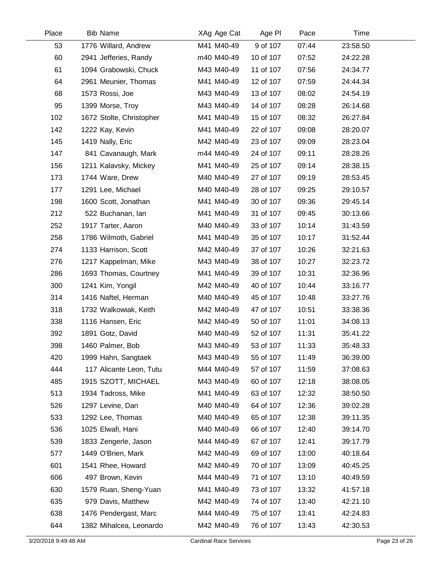| Place | <b>Bib Name</b>          | XAg Age Cat | Age PI    | Pace  | Time     |  |
|-------|--------------------------|-------------|-----------|-------|----------|--|
| 53    | 1776 Willard, Andrew     | M41 M40-49  | 9 of 107  | 07:44 | 23:58.50 |  |
| 60    | 2941 Jefferies, Randy    | m40 M40-49  | 10 of 107 | 07:52 | 24:22.28 |  |
| 61    | 1094 Grabowski, Chuck    | M43 M40-49  | 11 of 107 | 07:56 | 24:34.77 |  |
| 64    | 2961 Meunier, Thomas     | M41 M40-49  | 12 of 107 | 07:59 | 24:44.34 |  |
| 68    | 1573 Rossi, Joe          | M43 M40-49  | 13 of 107 | 08:02 | 24:54.19 |  |
| 95    | 1399 Morse, Troy         | M43 M40-49  | 14 of 107 | 08:28 | 26:14.68 |  |
| 102   | 1672 Stolte, Christopher | M41 M40-49  | 15 of 107 | 08:32 | 26:27.84 |  |
| 142   | 1222 Kay, Kevin          | M41 M40-49  | 22 of 107 | 09:08 | 28:20.07 |  |
| 145   | 1419 Nally, Eric         | M42 M40-49  | 23 of 107 | 09:09 | 28:23.04 |  |
| 147   | 841 Cavanaugh, Mark      | m44 M40-49  | 24 of 107 | 09:11 | 28:28.26 |  |
| 156   | 1211 Kalavsky, Mickey    | M41 M40-49  | 25 of 107 | 09:14 | 28:38.15 |  |
| 173   | 1744 Ware, Drew          | M40 M40-49  | 27 of 107 | 09:19 | 28:53.45 |  |
| 177   | 1291 Lee, Michael        | M40 M40-49  | 28 of 107 | 09:25 | 29:10.57 |  |
| 198   | 1600 Scott, Jonathan     | M41 M40-49  | 30 of 107 | 09:36 | 29:45.14 |  |
| 212   | 522 Buchanan, lan        | M41 M40-49  | 31 of 107 | 09:45 | 30:13.66 |  |
| 252   | 1917 Tarter, Aaron       | M40 M40-49  | 33 of 107 | 10:14 | 31:43.59 |  |
| 258   | 1786 Wilmoth, Gabriel    | M41 M40-49  | 35 of 107 | 10:17 | 31:52.44 |  |
| 274   | 1133 Harrison, Scott     | M42 M40-49  | 37 of 107 | 10:26 | 32:21.63 |  |
| 276   | 1217 Kappelman, Mike     | M43 M40-49  | 38 of 107 | 10:27 | 32:23.72 |  |
| 286   | 1693 Thomas, Courtney    | M41 M40-49  | 39 of 107 | 10:31 | 32:36.96 |  |
| 300   | 1241 Kim, Yongil         | M42 M40-49  | 40 of 107 | 10:44 | 33:16.77 |  |
| 314   | 1416 Naftel, Herman      | M40 M40-49  | 45 of 107 | 10:48 | 33:27.76 |  |
| 318   | 1732 Walkowiak, Keith    | M42 M40-49  | 47 of 107 | 10:51 | 33:38.36 |  |
| 338   | 1116 Hansen, Eric        | M42 M40-49  | 50 of 107 | 11:01 | 34:08.13 |  |
| 392   | 1891 Gotz, David         | M40 M40-49  | 52 of 107 | 11:31 | 35:41.22 |  |
| 398   | 1460 Palmer, Bob         | M43 M40-49  | 53 of 107 | 11:33 | 35:48.33 |  |
| 420   | 1999 Hahn, Sangtaek      | M43 M40-49  | 55 of 107 | 11:49 | 36:39.00 |  |
| 444   | 117 Alicante Leon, Tutu  | M44 M40-49  | 57 of 107 | 11:59 | 37:08.63 |  |
| 485   | 1915 SZOTT, MICHAEL      | M43 M40-49  | 60 of 107 | 12:18 | 38:08.05 |  |
| 513   | 1934 Tadross, Mike       | M41 M40-49  | 63 of 107 | 12:32 | 38:50.50 |  |
| 526   | 1297 Levine, Dan         | M40 M40-49  | 64 of 107 | 12:36 | 39:02.28 |  |
| 533   | 1292 Lee, Thomas         | M40 M40-49  | 65 of 107 | 12:38 | 39:11.35 |  |
| 536   | 1025 Elwafi, Hani        | M40 M40-49  | 66 of 107 | 12:40 | 39:14.70 |  |
| 539   | 1833 Zengerle, Jason     | M44 M40-49  | 67 of 107 | 12:41 | 39:17.79 |  |
| 577   | 1449 O'Brien, Mark       | M42 M40-49  | 69 of 107 | 13:00 | 40:18.64 |  |
| 601   | 1541 Rhee, Howard        | M42 M40-49  | 70 of 107 | 13:09 | 40:45.25 |  |
| 606   | 497 Brown, Kevin         | M44 M40-49  | 71 of 107 | 13:10 | 40:49.59 |  |
| 630   | 1579 Ruan, Sheng-Yuan    | M41 M40-49  | 73 of 107 | 13:32 | 41:57.18 |  |
| 635   | 979 Davis, Matthew       | M42 M40-49  | 74 of 107 | 13:40 | 42:21.10 |  |
| 638   | 1476 Pendergast, Marc    | M44 M40-49  | 75 of 107 | 13:41 | 42:24.83 |  |
| 644   | 1382 Mihalcea, Leonardo  | M42 M40-49  | 76 of 107 | 13:43 | 42:30.53 |  |

 $\overline{\phantom{0}}$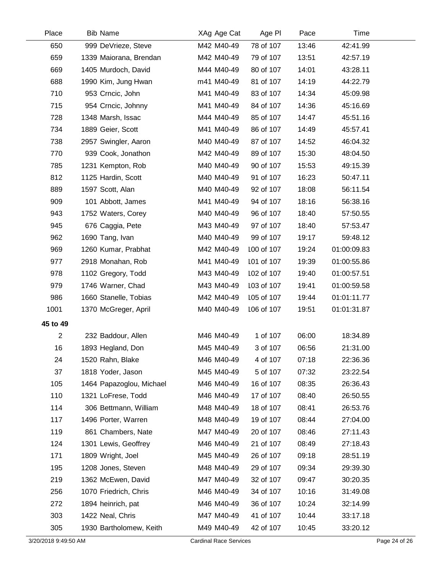| Place          | <b>Bib Name</b>          | XAg Age Cat | Age PI     | Pace  | Time        |  |
|----------------|--------------------------|-------------|------------|-------|-------------|--|
| 650            | 999 DeVrieze, Steve      | M42 M40-49  | 78 of 107  | 13:46 | 42:41.99    |  |
| 659            | 1339 Maiorana, Brendan   | M42 M40-49  | 79 of 107  | 13:51 | 42:57.19    |  |
| 669            | 1405 Murdoch, David      | M44 M40-49  | 80 of 107  | 14:01 | 43:28.11    |  |
| 688            | 1990 Kim, Jung Hwan      | m41 M40-49  | 81 of 107  | 14:19 | 44:22.79    |  |
| 710            | 953 Crncic, John         | M41 M40-49  | 83 of 107  | 14:34 | 45:09.98    |  |
| 715            | 954 Crncic, Johnny       | M41 M40-49  | 84 of 107  | 14:36 | 45:16.69    |  |
| 728            | 1348 Marsh, Issac        | M44 M40-49  | 85 of 107  | 14:47 | 45:51.16    |  |
| 734            | 1889 Geier, Scott        | M41 M40-49  | 86 of 107  | 14:49 | 45:57.41    |  |
| 738            | 2957 Swingler, Aaron     | M40 M40-49  | 87 of 107  | 14:52 | 46:04.32    |  |
| 770            | 939 Cook, Jonathon       | M42 M40-49  | 89 of 107  | 15:30 | 48:04.50    |  |
| 785            | 1231 Kempton, Rob        | M40 M40-49  | 90 of 107  | 15:53 | 49:15.39    |  |
| 812            | 1125 Hardin, Scott       | M40 M40-49  | 91 of 107  | 16:23 | 50:47.11    |  |
| 889            | 1597 Scott, Alan         | M40 M40-49  | 92 of 107  | 18:08 | 56:11.54    |  |
| 909            | 101 Abbott, James        | M41 M40-49  | 94 of 107  | 18:16 | 56:38.16    |  |
| 943            | 1752 Waters, Corey       | M40 M40-49  | 96 of 107  | 18:40 | 57:50.55    |  |
| 945            | 676 Caggia, Pete         | M43 M40-49  | 97 of 107  | 18:40 | 57:53.47    |  |
| 962            | 1690 Tang, Ivan          | M40 M40-49  | 99 of 107  | 19:17 | 59:48.12    |  |
| 969            | 1260 Kumar, Prabhat      | M42 M40-49  | 100 of 107 | 19:24 | 01:00:09.83 |  |
| 977            | 2918 Monahan, Rob        | M41 M40-49  | 101 of 107 | 19:39 | 01:00:55.86 |  |
| 978            | 1102 Gregory, Todd       | M43 M40-49  | 102 of 107 | 19:40 | 01:00:57.51 |  |
| 979            | 1746 Warner, Chad        | M43 M40-49  | 103 of 107 | 19:41 | 01:00:59.58 |  |
| 986            | 1660 Stanelle, Tobias    | M42 M40-49  | 105 of 107 | 19:44 | 01:01:11.77 |  |
| 1001           | 1370 McGreger, April     | M40 M40-49  | 106 of 107 | 19:51 | 01:01:31.87 |  |
| 45 to 49       |                          |             |            |       |             |  |
| $\overline{2}$ | 232 Baddour, Allen       | M46 M40-49  | 1 of 107   | 06:00 | 18:34.89    |  |
| 16             | 1893 Hegland, Don        | M45 M40-49  | 3 of 107   | 06:56 | 21:31.00    |  |
| 24             | 1520 Rahn, Blake         | M46 M40-49  | 4 of 107   | 07:18 | 22:36.36    |  |
| 37             | 1818 Yoder, Jason        | M45 M40-49  | 5 of 107   | 07:32 | 23:22.54    |  |
| 105            | 1464 Papazoglou, Michael | M46 M40-49  | 16 of 107  | 08:35 | 26:36.43    |  |
| 110            | 1321 LoFrese, Todd       | M46 M40-49  | 17 of 107  | 08:40 | 26:50.55    |  |
| 114            | 306 Bettmann, William    | M48 M40-49  | 18 of 107  | 08:41 | 26:53.76    |  |
| 117            | 1496 Porter, Warren      | M48 M40-49  | 19 of 107  | 08:44 | 27:04.00    |  |
| 119            | 861 Chambers, Nate       | M47 M40-49  | 20 of 107  | 08:46 | 27:11.43    |  |
| 124            | 1301 Lewis, Geoffrey     | M46 M40-49  | 21 of 107  | 08:49 | 27:18.43    |  |
| 171            | 1809 Wright, Joel        | M45 M40-49  | 26 of 107  | 09:18 | 28:51.19    |  |
| 195            | 1208 Jones, Steven       | M48 M40-49  | 29 of 107  | 09:34 | 29:39.30    |  |
| 219            | 1362 McEwen, David       | M47 M40-49  | 32 of 107  | 09:47 | 30:20.35    |  |
| 256            | 1070 Friedrich, Chris    | M46 M40-49  | 34 of 107  | 10:16 | 31:49.08    |  |
| 272            | 1894 heinrich, pat       | M46 M40-49  | 36 of 107  | 10:24 | 32:14.99    |  |
| 303            | 1422 Neal, Chris         | M47 M40-49  | 41 of 107  | 10:44 | 33:17.18    |  |
| 305            | 1930 Bartholomew, Keith  | M49 M40-49  | 42 of 107  | 10:45 | 33:20.12    |  |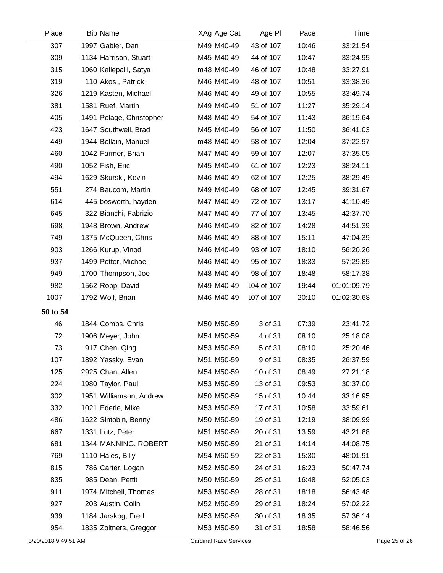| Place    | <b>Bib Name</b>          | XAg Age Cat | Age PI     | Pace  | Time        |  |
|----------|--------------------------|-------------|------------|-------|-------------|--|
| 307      | 1997 Gabier, Dan         | M49 M40-49  | 43 of 107  | 10:46 | 33:21.54    |  |
| 309      | 1134 Harrison, Stuart    | M45 M40-49  | 44 of 107  | 10:47 | 33:24.95    |  |
| 315      | 1960 Kallepalli, Satya   | m48 M40-49  | 46 of 107  | 10:48 | 33:27.91    |  |
| 319      | 110 Akos, Patrick        | M46 M40-49  | 48 of 107  | 10:51 | 33:38.36    |  |
| 326      | 1219 Kasten, Michael     | M46 M40-49  | 49 of 107  | 10:55 | 33:49.74    |  |
| 381      | 1581 Ruef, Martin        | M49 M40-49  | 51 of 107  | 11:27 | 35:29.14    |  |
| 405      | 1491 Polage, Christopher | M48 M40-49  | 54 of 107  | 11:43 | 36:19.64    |  |
| 423      | 1647 Southwell, Brad     | M45 M40-49  | 56 of 107  | 11:50 | 36:41.03    |  |
| 449      | 1944 Bollain, Manuel     | m48 M40-49  | 58 of 107  | 12:04 | 37:22.97    |  |
| 460      | 1042 Farmer, Brian       | M47 M40-49  | 59 of 107  | 12:07 | 37:35.05    |  |
| 490      | 1052 Fish, Eric          | M45 M40-49  | 61 of 107  | 12:23 | 38:24.11    |  |
| 494      | 1629 Skurski, Kevin      | M46 M40-49  | 62 of 107  | 12:25 | 38:29.49    |  |
| 551      | 274 Baucom, Martin       | M49 M40-49  | 68 of 107  | 12:45 | 39:31.67    |  |
| 614      | 445 bosworth, hayden     | M47 M40-49  | 72 of 107  | 13:17 | 41:10.49    |  |
| 645      | 322 Bianchi, Fabrizio    | M47 M40-49  | 77 of 107  | 13:45 | 42:37.70    |  |
| 698      | 1948 Brown, Andrew       | M46 M40-49  | 82 of 107  | 14:28 | 44:51.39    |  |
| 749      | 1375 McQueen, Chris      | M46 M40-49  | 88 of 107  | 15:11 | 47:04.39    |  |
| 903      | 1266 Kurup, Vinod        | M46 M40-49  | 93 of 107  | 18:10 | 56:20.26    |  |
| 937      | 1499 Potter, Michael     | M46 M40-49  | 95 of 107  | 18:33 | 57:29.85    |  |
| 949      | 1700 Thompson, Joe       | M48 M40-49  | 98 of 107  | 18:48 | 58:17.38    |  |
| 982      | 1562 Ropp, David         | M49 M40-49  | 104 of 107 | 19:44 | 01:01:09.79 |  |
| 1007     | 1792 Wolf, Brian         | M46 M40-49  | 107 of 107 | 20:10 | 01:02:30.68 |  |
| 50 to 54 |                          |             |            |       |             |  |
| 46       | 1844 Combs, Chris        | M50 M50-59  | 3 of 31    | 07:39 | 23:41.72    |  |
| 72       | 1906 Meyer, John         | M54 M50-59  | 4 of 31    | 08:10 | 25:18.08    |  |
| 73       | 917 Chen, Qing           | M53 M50-59  | 5 of 31    | 08:10 | 25:20.46    |  |
| 107      | 1892 Yassky, Evan        | M51 M50-59  | 9 of 31    | 08:35 | 26:37.59    |  |
| 125      | 2925 Chan, Allen         | M54 M50-59  | 10 of 31   | 08:49 | 27:21.18    |  |
| 224      | 1980 Taylor, Paul        | M53 M50-59  | 13 of 31   | 09:53 | 30:37.00    |  |
| 302      | 1951 Williamson, Andrew  | M50 M50-59  | 15 of 31   | 10:44 | 33:16.95    |  |
| 332      | 1021 Ederle, Mike        | M53 M50-59  | 17 of 31   | 10:58 | 33:59.61    |  |
| 486      | 1622 Sintobin, Benny     | M50 M50-59  | 19 of 31   | 12:19 | 38:09.99    |  |
| 667      | 1331 Lutz, Peter         | M51 M50-59  | 20 of 31   | 13:59 | 43:21.88    |  |
| 681      | 1344 MANNING, ROBERT     | M50 M50-59  | 21 of 31   | 14:14 | 44:08.75    |  |
| 769      | 1110 Hales, Billy        | M54 M50-59  | 22 of 31   | 15:30 | 48:01.91    |  |
| 815      | 786 Carter, Logan        | M52 M50-59  | 24 of 31   | 16:23 | 50:47.74    |  |
| 835      | 985 Dean, Pettit         | M50 M50-59  | 25 of 31   | 16:48 | 52:05.03    |  |
| 911      | 1974 Mitchell, Thomas    | M53 M50-59  | 28 of 31   | 18:18 | 56:43.48    |  |
| 927      | 203 Austin, Colin        | M52 M50-59  | 29 of 31   | 18:24 | 57:02.22    |  |
| 939      | 1184 Jarskog, Fred       | M53 M50-59  | 30 of 31   | 18:35 | 57:36.14    |  |
| 954      | 1835 Zoltners, Greggor   | M53 M50-59  | 31 of 31   | 18:58 | 58:46.56    |  |